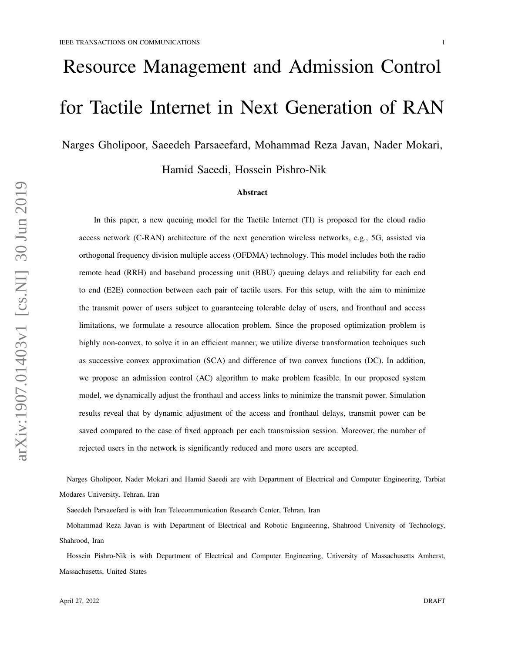# Resource Management and Admission Control for Tactile Internet in Next Generation of RAN

Narges Gholipoor, Saeedeh Parsaeefard, Mohammad Reza Javan, Nader Mokari,

Hamid Saeedi, Hossein Pishro-Nik

#### Abstract

In this paper, a new queuing model for the Tactile Internet (TI) is proposed for the cloud radio access network (C-RAN) architecture of the next generation wireless networks, e.g., 5G, assisted via orthogonal frequency division multiple access (OFDMA) technology. This model includes both the radio remote head (RRH) and baseband processing unit (BBU) queuing delays and reliability for each end to end (E2E) connection between each pair of tactile users. For this setup, with the aim to minimize the transmit power of users subject to guaranteeing tolerable delay of users, and fronthaul and access limitations, we formulate a resource allocation problem. Since the proposed optimization problem is highly non-convex, to solve it in an efficient manner, we utilize diverse transformation techniques such as successive convex approximation (SCA) and difference of two convex functions (DC). In addition, we propose an admission control (AC) algorithm to make problem feasible. In our proposed system model, we dynamically adjust the fronthaul and access links to minimize the transmit power. Simulation results reveal that by dynamic adjustment of the access and fronthaul delays, transmit power can be saved compared to the case of fixed approach per each transmission session. Moreover, the number of rejected users in the network is significantly reduced and more users are accepted.

Narges Gholipoor, Nader Mokari and Hamid Saeedi are with Department of Electrical and Computer Engineering, Tarbiat Modares University, Tehran, Iran

Saeedeh Parsaeefard is with Iran Telecommunication Research Center, Tehran, Iran

Mohammad Reza Javan is with Department of Electrical and Robotic Engineering, Shahrood University of Technology, Shahrood, Iran

Hossein Pishro-Nik is with Department of Electrical and Computer Engineering, University of Massachusetts Amherst, Massachusetts, United States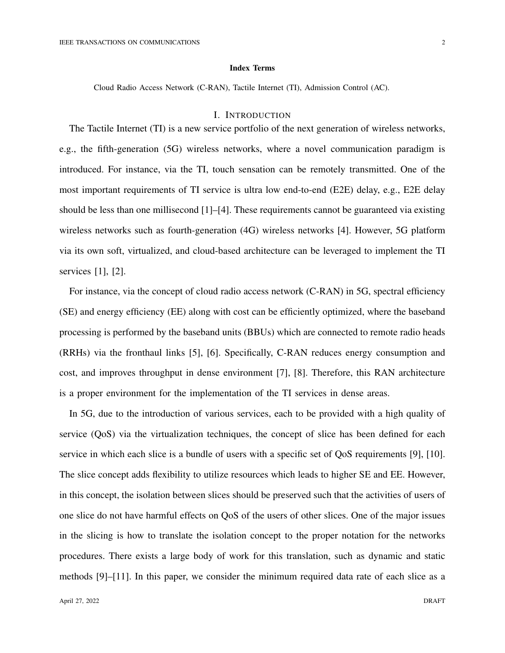#### Index Terms

Cloud Radio Access Network (C-RAN), Tactile Internet (TI), Admission Control (AC).

## I. INTRODUCTION

The Tactile Internet (TI) is a new service portfolio of the next generation of wireless networks, e.g., the fifth-generation (5G) wireless networks, where a novel communication paradigm is introduced. For instance, via the TI, touch sensation can be remotely transmitted. One of the most important requirements of TI service is ultra low end-to-end (E2E) delay, e.g., E2E delay should be less than one millisecond [1]–[4]. These requirements cannot be guaranteed via existing wireless networks such as fourth-generation (4G) wireless networks [4]. However, 5G platform via its own soft, virtualized, and cloud-based architecture can be leveraged to implement the TI services [1], [2].

For instance, via the concept of cloud radio access network (C-RAN) in 5G, spectral efficiency (SE) and energy efficiency (EE) along with cost can be efficiently optimized, where the baseband processing is performed by the baseband units (BBUs) which are connected to remote radio heads (RRHs) via the fronthaul links [5], [6]. Specifically, C-RAN reduces energy consumption and cost, and improves throughput in dense environment [7], [8]. Therefore, this RAN architecture is a proper environment for the implementation of the TI services in dense areas.

In 5G, due to the introduction of various services, each to be provided with a high quality of service (QoS) via the virtualization techniques, the concept of slice has been defined for each service in which each slice is a bundle of users with a specific set of QoS requirements [9], [10]. The slice concept adds flexibility to utilize resources which leads to higher SE and EE. However, in this concept, the isolation between slices should be preserved such that the activities of users of one slice do not have harmful effects on QoS of the users of other slices. One of the major issues in the slicing is how to translate the isolation concept to the proper notation for the networks procedures. There exists a large body of work for this translation, such as dynamic and static methods [9]–[11]. In this paper, we consider the minimum required data rate of each slice as a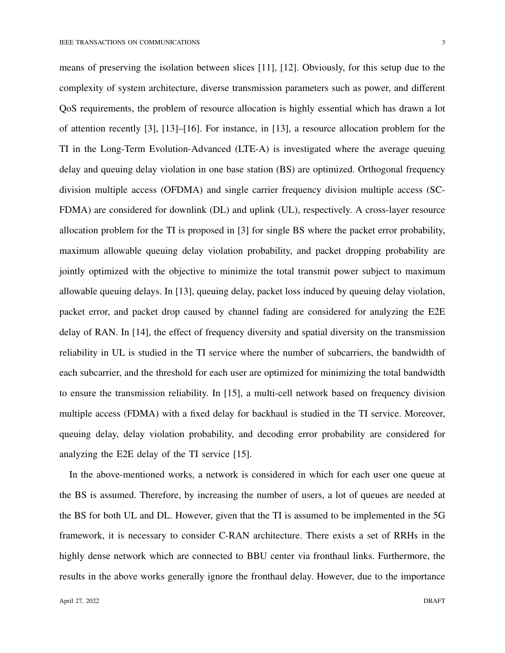means of preserving the isolation between slices [11], [12]. Obviously, for this setup due to the complexity of system architecture, diverse transmission parameters such as power, and different QoS requirements, the problem of resource allocation is highly essential which has drawn a lot of attention recently [3], [13]–[16]. For instance, in [13], a resource allocation problem for the TI in the Long-Term Evolution-Advanced (LTE-A) is investigated where the average queuing delay and queuing delay violation in one base station (BS) are optimized. Orthogonal frequency division multiple access (OFDMA) and single carrier frequency division multiple access (SC-FDMA) are considered for downlink (DL) and uplink (UL), respectively. A cross-layer resource allocation problem for the TI is proposed in [3] for single BS where the packet error probability, maximum allowable queuing delay violation probability, and packet dropping probability are jointly optimized with the objective to minimize the total transmit power subject to maximum allowable queuing delays. In [13], queuing delay, packet loss induced by queuing delay violation, packet error, and packet drop caused by channel fading are considered for analyzing the E2E delay of RAN. In [14], the effect of frequency diversity and spatial diversity on the transmission reliability in UL is studied in the TI service where the number of subcarriers, the bandwidth of each subcarrier, and the threshold for each user are optimized for minimizing the total bandwidth to ensure the transmission reliability. In [15], a multi-cell network based on frequency division multiple access (FDMA) with a fixed delay for backhaul is studied in the TI service. Moreover, queuing delay, delay violation probability, and decoding error probability are considered for analyzing the E2E delay of the TI service [15].

In the above-mentioned works, a network is considered in which for each user one queue at the BS is assumed. Therefore, by increasing the number of users, a lot of queues are needed at the BS for both UL and DL. However, given that the TI is assumed to be implemented in the 5G framework, it is necessary to consider C-RAN architecture. There exists a set of RRHs in the highly dense network which are connected to BBU center via fronthaul links. Furthermore, the results in the above works generally ignore the fronthaul delay. However, due to the importance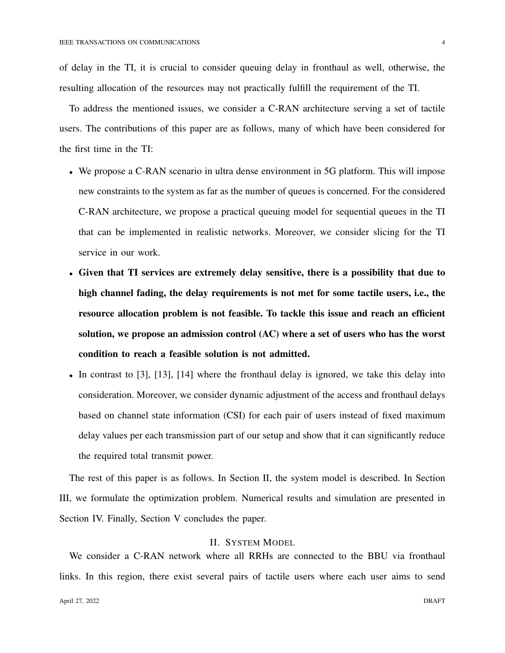of delay in the TI, it is crucial to consider queuing delay in fronthaul as well, otherwise, the resulting allocation of the resources may not practically fulfill the requirement of the TI.

To address the mentioned issues, we consider a C-RAN architecture serving a set of tactile users. The contributions of this paper are as follows, many of which have been considered for the first time in the TI:

- We propose a C-RAN scenario in ultra dense environment in 5G platform. This will impose new constraints to the system as far as the number of queues is concerned. For the considered C-RAN architecture, we propose a practical queuing model for sequential queues in the TI that can be implemented in realistic networks. Moreover, we consider slicing for the TI service in our work.
- Given that TI services are extremely delay sensitive, there is a possibility that due to high channel fading, the delay requirements is not met for some tactile users, i.e., the resource allocation problem is not feasible. To tackle this issue and reach an efficient solution, we propose an admission control (AC) where a set of users who has the worst condition to reach a feasible solution is not admitted.
- In contrast to [3], [13], [14] where the fronthaul delay is ignored, we take this delay into consideration. Moreover, we consider dynamic adjustment of the access and fronthaul delays based on channel state information (CSI) for each pair of users instead of fixed maximum delay values per each transmission part of our setup and show that it can significantly reduce the required total transmit power.

The rest of this paper is as follows. In Section II, the system model is described. In Section III, we formulate the optimization problem. Numerical results and simulation are presented in Section IV. Finally, Section V concludes the paper.

# II. SYSTEM MODEL

We consider a C-RAN network where all RRHs are connected to the BBU via fronthaul links. In this region, there exist several pairs of tactile users where each user aims to send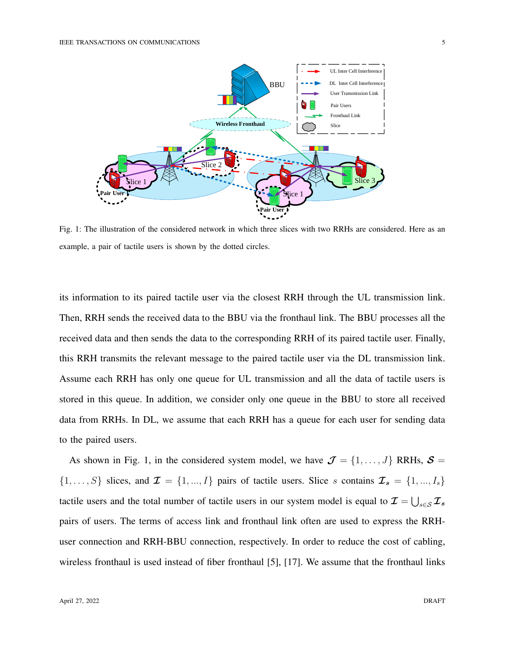

Fig. 1: The illustration of the considered network in which three slices with two RRHs are considered. Here as an example, a pair of tactile users is shown by the dotted circles.

its information to its paired tactile user via the closest RRH through the UL transmission link. Then, RRH sends the received data to the BBU via the fronthaul link. The BBU processes all the received data and then sends the data to the corresponding RRH of its paired tactile user. Finally, this RRH transmits the relevant message to the paired tactile user via the DL transmission link. Assume each RRH has only one queue for UL transmission and all the data of tactile users is stored in this queue. In addition, we consider only one queue in the BBU to store all received data from RRHs. In DL, we assume that each RRH has a queue for each user for sending data to the paired users.

As shown in Fig. 1, in the considered system model, we have  $\mathcal{J} = \{1, \ldots, J\}$  RRHs,  $\mathcal{S} =$  $\{1, \ldots, S\}$  slices, and  $\mathcal{I} = \{1, \ldots, I\}$  pairs of tactile users. Slice s contains  $\mathcal{I}_s = \{1, \ldots, I_s\}$ tactile users and the total number of tactile users in our system model is equal to  $\mathcal{I} = \bigcup_{s \in \mathcal{S}} \mathcal{I}_s$ pairs of users. The terms of access link and fronthaul link often are used to express the RRHuser connection and RRH-BBU connection, respectively. In order to reduce the cost of cabling, wireless fronthaul is used instead of fiber fronthaul [5], [17]. We assume that the fronthaul links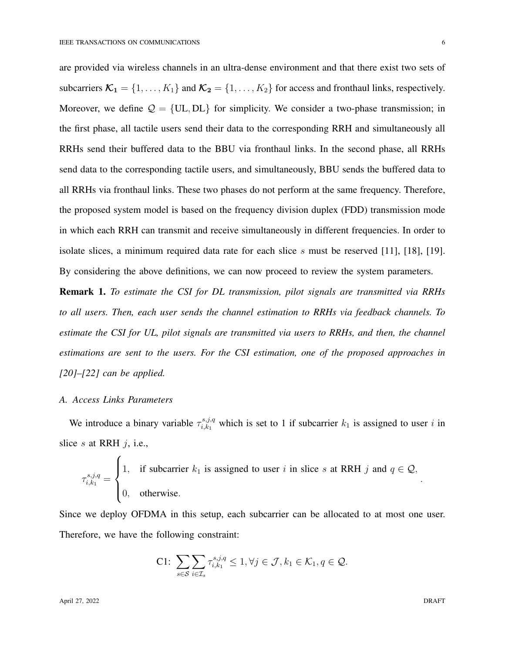are provided via wireless channels in an ultra-dense environment and that there exist two sets of subcarriers  $\mathcal{K}_1 = \{1, \ldots, K_1\}$  and  $\mathcal{K}_2 = \{1, \ldots, K_2\}$  for access and fronthaul links, respectively. Moreover, we define  $Q = \{UL, DL\}$  for simplicity. We consider a two-phase transmission; in the first phase, all tactile users send their data to the corresponding RRH and simultaneously all RRHs send their buffered data to the BBU via fronthaul links. In the second phase, all RRHs send data to the corresponding tactile users, and simultaneously, BBU sends the buffered data to all RRHs via fronthaul links. These two phases do not perform at the same frequency. Therefore, the proposed system model is based on the frequency division duplex (FDD) transmission mode in which each RRH can transmit and receive simultaneously in different frequencies. In order to isolate slices, a minimum required data rate for each slice s must be reserved [11], [18], [19]. By considering the above definitions, we can now proceed to review the system parameters.

Remark 1. *To estimate the CSI for DL transmission, pilot signals are transmitted via RRHs to all users. Then, each user sends the channel estimation to RRHs via feedback channels. To estimate the CSI for UL, pilot signals are transmitted via users to RRHs, and then, the channel estimations are sent to the users. For the CSI estimation, one of the proposed approaches in [20]–[22] can be applied.*

#### *A. Access Links Parameters*

We introduce a binary variable  $\tau_{i,k_1}^{s,j,q}$  $i_{i,k_1}^{s,j,q}$  which is set to 1 if subcarrier  $k_1$  is assigned to user i in slice s at RRH  $j$ , i.e.,

$$
\tau_{i,k_1}^{s,j,q} = \begin{cases} 1, & \text{if subcarrier } k_1 \text{ is assigned to user } i \text{ in slice } s \text{ at RRH } j \text{ and } q \in \mathcal{Q}, \\ 0, & \text{otherwise.} \end{cases}
$$

Since we deploy OFDMA in this setup, each subcarrier can be allocated to at most one user. Therefore, we have the following constraint:

$$
\text{C1: } \sum_{s \in \mathcal{S}} \sum_{i \in \mathcal{I}_s} \tau_{i,k_1}^{s,j,q} \leq 1, \forall j \in \mathcal{J}, k_1 \in \mathcal{K}_1, q \in \mathcal{Q}.
$$

April 27, 2022 DRAFT

.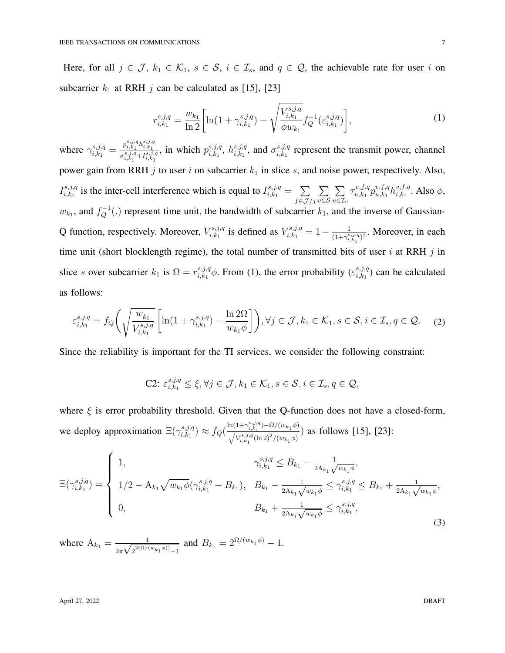Here, for all  $j \in \mathcal{J}$ ,  $k_1 \in \mathcal{K}_1$ ,  $s \in \mathcal{S}$ ,  $i \in \mathcal{I}_s$ , and  $q \in \mathcal{Q}$ , the achievable rate for user i on subcarrier  $k_1$  at RRH j can be calculated as [15], [23]

$$
r_{i,k_1}^{s,j,q} = \frac{w_{k_1}}{\ln 2} \left[ \ln(1 + \gamma_{i,k_1}^{s,j,q}) - \sqrt{\frac{V_{i,k_1}^{s,j,q}}{\phi w_{k_1}}} f_Q^{-1}(\varepsilon_{i,k_1}^{s,j,q}) \right],\tag{1}
$$

where  $\gamma_{i,k_1}^{s,j,q} = \frac{p_{i,k_1}^{s,j,q} h_{i,k_1}^{s,j,q}}{\sigma_{i}^{s,j,q} + I_{i}^{s,j,q}}$  $\sigma_{i,k_1}^{s,j,q}$ + $I_{i,k_1}^{s,j,q}$ , in which  $p_{i,k_1}^{s,j,q}$  $_{i,k_1}^{s,j,q}, h_{i,k_1}^{s,j,q}$  $_{i,k_1}^{s,j,q}$ , and  $\sigma_{i,k_1}^{s,j,q}$  $i_{i,k_1}^{s,j,q}$  represent the transmit power, channel power gain from RRH  $j$  to user  $i$  on subcarrier  $k_1$  in slice  $s$ , and noise power, respectively. Also,  $I_{i,k_1}^{s,j,q}$ <sup>is,j,q</sup> is the inter-cell interference which is equal to  $I_{i,k_1}^{s,j,q} = \sum_{k=1}^{n}$  $f{\in}{\mathcal{J}}/j$  $\sum$ v∈S  $\sum$  $u \in \mathcal{I}_v$  $\tau_{u.k_1}^{v,f,q}$  $v,f,q \overline{p}^{v,f,q}_{u,k_1}$  $_{u,k_1}^{v,f,q}h_{i,k_1}^{v,f,q}$  $v, J, q$ , Also  $\phi$ ,  $w_{k_1}$ , and  $f_Q^{-1}(.)$  represent time unit, the bandwidth of subcarrier  $k_1$ , and the inverse of Gaussian-Q function, respectively. Moreover,  $V_{i,k_1}^{s,j,q}$  $i_{i,k_1}^{s,j,q}$  is defined as  $V_{i,k_1}^{s,j,q} = 1 - \frac{1}{(1+\gamma^s)}$  $\frac{1}{(1+\gamma_{i,k_1}^{s,j,q})^2}$ . Moreover, in each time unit (short blocklength regime), the total number of transmitted bits of user  $i$  at RRH  $j$  in slice s over subcarrier  $k_1$  is  $\Omega = r_{i,k_1}^{s,j,q}$  $i_{i,k_1}^{s,j,q}$   $\phi$ . From (1), the error probability  $(\varepsilon_{i,k_1}^{s,j,q})$  $_{i,k_1}^{s,j,q}$  can be calculated as follows:

$$
\varepsilon_{i,k_1}^{s,j,q} = f_Q\left(\sqrt{\frac{w_{k_1}}{V_{i,k_1}^{s,j,q}}}\left[\ln(1+\gamma_{i,k_1}^{s,j,q}) - \frac{\ln 2\Omega}{w_{k_1}\phi}\right]\right), \forall j \in \mathcal{J}, k_1 \in \mathcal{K}_1, s \in \mathcal{S}, i \in \mathcal{I}_s, q \in \mathcal{Q}.\tag{2}
$$

Since the reliability is important for the TI services, we consider the following constraint:

C2: 
$$
\varepsilon_{i,k_1}^{s,j,q} \leq \xi, \forall j \in \mathcal{J}, k_1 \in \mathcal{K}_1, s \in \mathcal{S}, i \in \mathcal{I}_s, q \in \mathcal{Q},
$$

where  $\xi$  is error probability threshold. Given that the Q-function does not have a closed-form, we deploy approximation  $\Xi(\gamma^{s,j,q}_{i,k_1})$  $i_{i,k_1}^{s,j,q}$   $\approx f_Q\left(\frac{\ln(1+\gamma_{i,k_1}^{s,j,q})-\Omega/(w_{k_1}\phi)}{\sqrt{V^{s,j,q}(\ln 2)^2/(w_{k_1}\phi)}}\right)$  $\frac{\sqrt{V_{i,k_1}^{s,j,q}(\ln 2)^2/(w_{k_1}\phi)}}{\sqrt{V_{i,k_1}^{s,j,q}(\ln 2)^2/(w_{k_1}\phi)}}$ ) as follows [15], [23]:

$$
\Xi(\gamma_{i,k_1}^{s,j,q}) = \begin{cases}\n1, & \gamma_{i,k_1}^{s,j,q} \leq B_{k_1} - \frac{1}{2A_{k_1}\sqrt{w_{k_1}\phi}}, \\
1/2 - A_{k_1}\sqrt{w_{k_1}\phi}(\gamma_{i,k_1}^{s,j,q} - B_{k_1}), & B_{k_1} - \frac{1}{2A_{k_1}\sqrt{w_{k_1}\phi}} \leq \gamma_{i,k_1}^{s,j,q} \leq B_{k_1} + \frac{1}{2A_{k_1}\sqrt{w_{k_1}\phi}}, \\
0, & B_{k_1} + \frac{1}{2A_{k_1}\sqrt{w_{k_1}\phi}} \leq \gamma_{i,k_1}^{s,j,q},\n\end{cases} (3)
$$

where  $A_{k_1} = \frac{1}{\sqrt{2} \sqrt{2}}$  $2\pi$  $\overline{\phantom{a}}$  $\frac{1}{2^{2(\Omega/(w_{k_1}\phi))}-1}$  and  $B_{k_1}=2^{\Omega/(w_{k_1}\phi)}-1$ .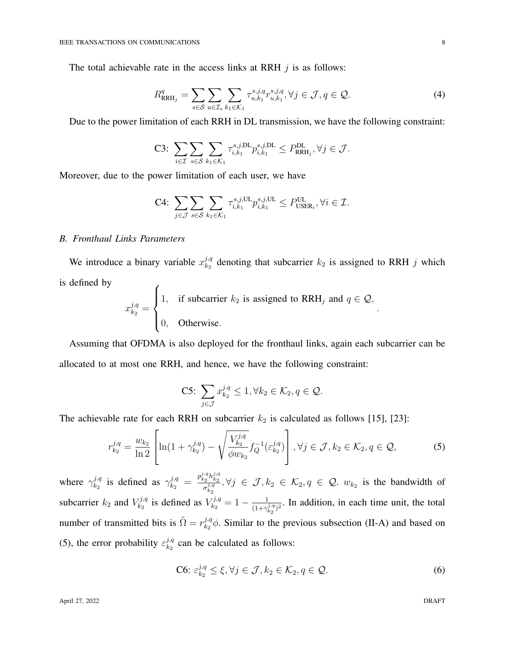The total achievable rate in the access links at RRH  $j$  is as follows:

$$
R_{\text{RRH}_j}^q = \sum_{s \in \mathcal{S}} \sum_{u \in \mathcal{I}_s} \sum_{k_1 \in \mathcal{K}_1} \tau_{u,k_1}^{s,j,q} \tau_{u,k_1}^{s,j,q}, \forall j \in \mathcal{J}, q \in \mathcal{Q}.
$$
 (4)

Due to the power limitation of each RRH in DL transmission, we have the following constraint:

$$
\text{C3: } \sum_{i \in \mathcal{I}} \sum_{s \in \mathcal{S}} \sum_{k_1 \in \mathcal{K}_1} \tau_{i,k_1}^{s,j,\text{DL}} p_{i,k_1}^{s,j,\text{DL}} \leq P_{\text{RRH}_j}^{\text{DL}}, \forall j \in \mathcal{J}.
$$

Moreover, due to the power limitation of each user, we have

$$
\text{C4: } \sum_{j \in \mathcal{J}} \sum_{s \in \mathcal{S}} \sum_{k_1 \in \mathcal{K}_1} \tau_{i,k_1}^{s,j,\text{UL}} p_{i,k_1}^{s,j,\text{UL}} \leq P_{\text{USER}_i}^{\text{UL}}, \forall i \in \mathcal{I}.
$$

#### *B. Fronthaul Links Parameters*

We introduce a binary variable  $x_{k_2}^{j,q}$  $\frac{j_{1}q_{2}}{k_{2}}$  denoting that subcarrier  $k_{2}$  is assigned to RRH j which is defined by

$$
x_{k_2}^{j,q} = \begin{cases} 1, & \text{if subcarrier } k_2 \text{ is assigned to RRH}_j \text{ and } q \in \mathcal{Q}, \\ 0, & \text{Otherwise.} \end{cases}
$$

Assuming that OFDMA is also deployed for the fronthaul links, again each subcarrier can be allocated to at most one RRH, and hence, we have the following constraint:

C5: 
$$
\sum_{j \in \mathcal{J}} x_{k_2}^{j,q} \leq 1, \forall k_2 \in \mathcal{K}_2, q \in \mathcal{Q}.
$$

The achievable rate for each RRH on subcarrier  $k_2$  is calculated as follows [15], [23]:

$$
r_{k_2}^{j,q} = \frac{w_{k_2}}{\ln 2} \left[ \ln(1 + \gamma_{k_2}^{j,q}) - \sqrt{\frac{V_{k_2}^{j,q}}{\phi w_{k_2}}} f_Q^{-1}(\varepsilon_{k_2}^{j,q}) \right], \forall j \in \mathcal{J}, k_2 \in \mathcal{K}_2, q \in \mathcal{Q},
$$
 (5)

where  $\gamma_{k_2}^{j,q}$  $\frac{j_{3}q}{k_{2}}$  is defined as  $\gamma_{k_{2}}^{j_{3}} = \frac{p_{k_{2}}^{j_{3}}p_{k_{2}}^{j_{3}}}{\sigma_{k_{3}}^{j_{3}}}$  $\sigma_{\sigma_{k_2}}^{i_2 \cdots i_{k_2}}$ ,  $\forall j \in \mathcal{J}, k_2 \in \mathcal{K}_2$ ,  $q \in \mathcal{Q}$ .  $w_{k_2}$  is the bandwidth of subcarrier  $k_2$  and  $V_{k_2}^{j,q}$  $\frac{k_2^{j,q}}{k_2}$  is defined as  $V_{k_2}^{j,q} = 1 - \frac{1}{(1+\gamma)}$  $\frac{1}{(1+\gamma_{k_2}^{j,q})^2}$ . In addition, in each time unit, the total number of transmitted bits is  $\tilde{\Omega} = r_{k_0}^{j,q}$  $\frac{\partial \mathcal{H}}{\partial k_2}$   $\phi$ . Similar to the previous subsection (II-A) and based on (5), the error probability  $\varepsilon_{k_2}^{j,q}$  $\frac{d^{3}, q}{k_2}$  can be calculated as follows:

$$
\text{C6: } \varepsilon_{k_2}^{j,q} \le \xi, \forall j \in \mathcal{J}, k_2 \in \mathcal{K}_2, q \in \mathcal{Q}. \tag{6}
$$

.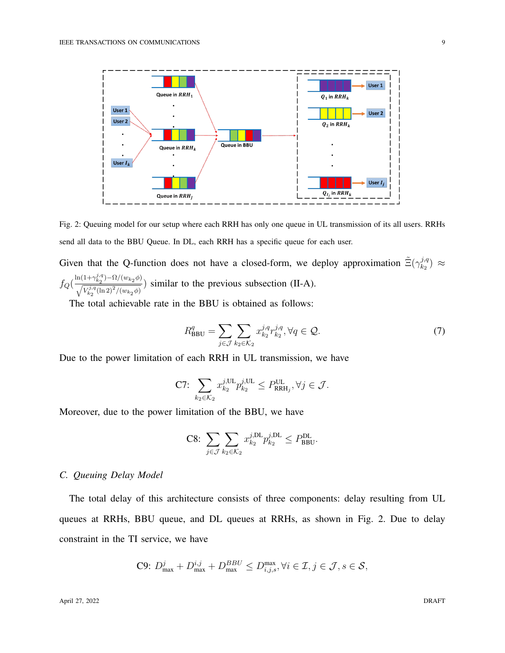

Fig. 2: Queuing model for our setup where each RRH has only one queue in UL transmission of its all users. RRHs send all data to the BBU Queue. In DL, each RRH has a specific queue for each user.

Given that the Q-function does not have a closed-form, we deploy approximation  $\tilde{\Xi}(\gamma_{k_2}^{j,q})$  $_{k_{2}}^{j,q})\,\approx$  $f_Q\left(\frac{\ln(1+\gamma_{k_2}^{j,q})-\Omega/(w_{k_2}\phi)}{\sqrt{\frac{r_{k_2}^{j,q}(1-\Omega)^2}{r_{k_2}^{j,q}(1-\Omega)^2}}\right)$  $\frac{\sqrt{V_{k_2}^{j,q}(\ln 2)^2/(w_{k_2}\phi)}}{\sqrt{V_{k_2}^{j,q}(\ln 2)^2/(w_{k_2}\phi)}}$ ) similar to the previous subsection (II-A).

The total achievable rate in the BBU is obtained as follows:

$$
R_{\text{BBU}}^q = \sum_{j \in \mathcal{J}} \sum_{k_2 \in \mathcal{K}_2} x_{k_2}^{j, q} r_{k_2}^{j, q}, \forall q \in \mathcal{Q}.\tag{7}
$$

Due to the power limitation of each RRH in UL transmission, we have

$$
\text{C7: } \sum_{k_2 \in \mathcal{K}_2} x_{k_2}^{j,\text{UL}} p_{k_2}^{j,\text{UL}} \leq P_{\text{RRH}_j}^{\text{UL}}, \forall j \in \mathcal{J}.
$$

Moreover, due to the power limitation of the BBU, we have

$$
\text{C8: } \sum_{j \in \mathcal{J}} \sum_{k_2 \in \mathcal{K}_2} x_{k_2}^{j, \text{DL}} p_{k_2}^{j, \text{DL}} \le P_{\text{BBU}}^{\text{DL}}.
$$

#### *C. Queuing Delay Model*

The total delay of this architecture consists of three components: delay resulting from UL queues at RRHs, BBU queue, and DL queues at RRHs, as shown in Fig. 2. Due to delay constraint in the TI service, we have

C9: 
$$
D_{\text{max}}^j + D_{\text{max}}^{i,j} + D_{\text{max}}^{BBU} \leq D_{i,j,s}^{\text{max}}, \forall i \in \mathcal{I}, j \in \mathcal{J}, s \in \mathcal{S},
$$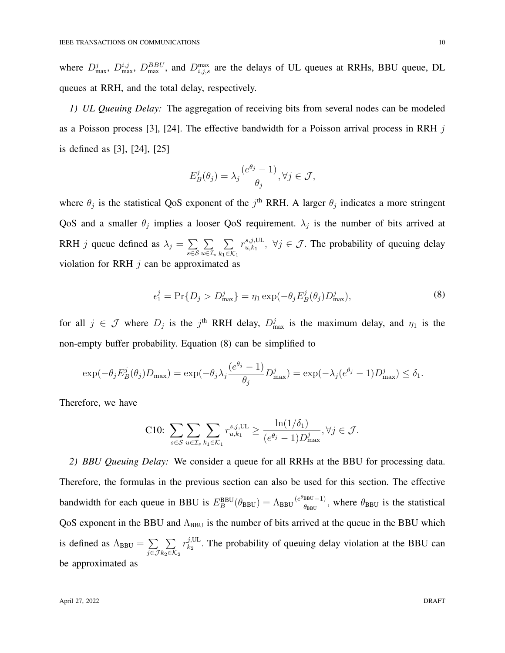where  $D_{\text{max}}^j$ ,  $D_{\text{max}}^{i,j}$ ,  $D_{\text{max}}^{BBU}$ , and  $D_{i,j,s}^{\text{max}}$  are the delays of UL queues at RRHs, BBU queue, DL queues at RRH, and the total delay, respectively.

*1) UL Queuing Delay:* The aggregation of receiving bits from several nodes can be modeled as a Poisson process [3], [24]. The effective bandwidth for a Poisson arrival process in RRH  $j$ is defined as [3], [24], [25]

$$
E_B^j(\theta_j) = \lambda_j \frac{(e^{\theta_j} - 1)}{\theta_j}, \forall j \in \mathcal{J},
$$

where  $\theta_j$  is the statistical QoS exponent of the  $j^{\text{th}}$  RRH. A larger  $\theta_j$  indicates a more stringent QoS and a smaller  $\theta_j$  implies a looser QoS requirement.  $\lambda_j$  is the number of bits arrived at RRH *j* queue defined as  $\lambda_j = \sum$ s∈S  $\sum$  $u \in \mathcal{I}_s$  $\sum$  $k_1 \in \mathcal{K}_1$  $r_{u,k_1}^{s,j,\mathrm{UL}}$  $\{S_{u,k_1},\ldots,S_{u,k_n}\}\in\mathcal{J}$ . The probability of queuing delay violation for RRH  $j$  can be approximated as

$$
\epsilon_1^j = \Pr\{D_j > D_{\text{max}}^j\} = \eta_1 \exp(-\theta_j E_B^j(\theta_j) D_{\text{max}}^j),\tag{8}
$$

for all  $j \in \mathcal{J}$  where  $D_j$  is the j<sup>th</sup> RRH delay,  $D_{\text{max}}^j$  is the maximum delay, and  $\eta_1$  is the non-empty buffer probability. Equation (8) can be simplified to

$$
\exp(-\theta_j E_B^j(\theta_j)D_{\max}) = \exp(-\theta_j \lambda_j \frac{(e^{\theta_j}-1)}{\theta_j} D_{\max}^j) = \exp(-\lambda_j (e^{\theta_j}-1) D_{\max}^j) \le \delta_1.
$$

Therefore, we have

C10: 
$$
\sum_{s \in \mathcal{S}} \sum_{u \in \mathcal{I}_s} \sum_{k_1 \in \mathcal{K}_1} r_{u,k_1}^{s,j,\text{UL}} \ge \frac{\ln(1/\delta_1)}{(e^{\theta_j} - 1)D_{\text{max}}^j}, \forall j \in \mathcal{J}.
$$

*2) BBU Queuing Delay:* We consider a queue for all RRHs at the BBU for processing data. Therefore, the formulas in the previous section can also be used for this section. The effective bandwidth for each queue in BBU is  $E_B^{BBU}(\theta_{BBU}) = \Lambda_{BBU} \frac{(e^{\theta_{BBU}}-1)}{\theta_{BBU}}$  $\frac{\text{BBU}-1}{\theta_{\text{BBU}}}$ , where  $\theta_{\text{BBU}}$  is the statistical QoS exponent in the BBU and  $\Lambda_{\text{BBU}}$  is the number of bits arrived at the queue in the BBU which is defined as  $\Lambda_{\text{BBU}} = \sum$ j∈J  $\sum$  $k_2∈\mathcal{K}_2$  $r_{k_2}^{j,\mathrm{UL}}$  $u_{k_2}^{j,UL}$ . The probability of queuing delay violation at the BBU can be approximated as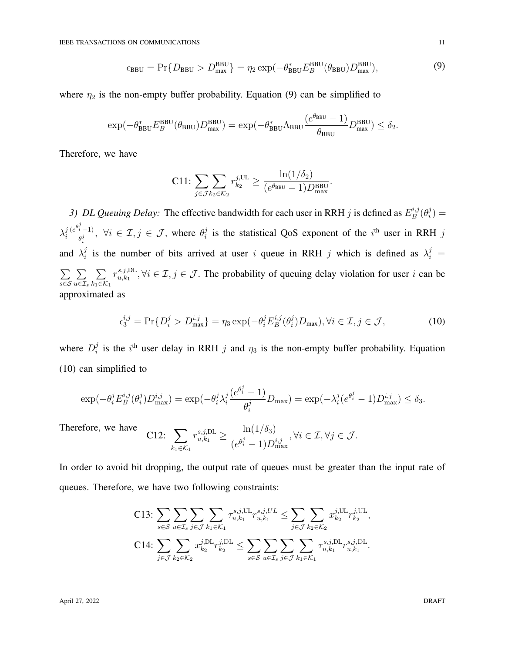$$
\epsilon_{\text{BBU}} = \Pr\{D_{\text{BBU}} > D_{\text{max}}^{\text{BBU}}\} = \eta_2 \exp(-\theta_{\text{BBU}}^* E_B^{\text{BBU}}(\theta_{\text{BBU}}) D_{\text{max}}^{\text{BBU}}),\tag{9}
$$

where  $\eta_2$  is the non-empty buffer probability. Equation (9) can be simplified to

$$
\exp(-\theta_{\text{BBU}}^* E_B^{\text{BBU}}(\theta_{\text{BBU}}) D_{\text{max}}^{\text{BBU}}) = \exp(-\theta_{\text{BBU}}^* \Lambda_{\text{BBU}} \frac{(e^{\theta_{\text{BBU}}} - 1)}{\theta_{\text{BBU}}} D_{\text{max}}^{\text{BBU}}) \le \delta_2.
$$

Therefore, we have

$$
\text{C11: } \sum_{j \in \mathcal{J}k_2 \in \mathcal{K}_2} r_{k_2}^{j,\text{UL}} \ge \frac{\ln(1/\delta_2)}{(e^{\theta_{\text{BBU}}} - 1)D_{\text{max}}^{\text{BBU}}}.
$$

3) DL Queuing Delay: The effective bandwidth for each user in RRH j is defined as  $E_B^{i,j}$  $_{B}^{i,j}(\theta _{i}^{j}% \theta _{j}^{\prime \prime }\theta _{j}^{\prime \prime }\theta _{j}^{\prime \prime \prime }\theta _{j}^{\prime \prime \prime }\theta _{j}^{\prime \prime \prime }\theta _{j}^{\prime \prime \prime }\theta _{j}^{\prime \prime \prime }\theta _{j}^{\prime \prime \prime }\theta _{j}^{\prime \prime \prime }\theta _{j}^{\prime \prime \prime }\theta _{j}^{\prime \prime \prime }\theta _{j}^{\prime \prime \prime }\theta _{j}^{\prime \prime \prime }\theta _{j}^{\prime \prime \prime }\theta _{j}^{\prime \prime \prime }\theta _{j}^{\prime \prime \prime$  $\binom{J}{i}$  =  $\lambda_i^j$ i  $(e^{\theta_i^j}-1)$  $\frac{\partial \tilde{f}_i - 1}{\partial \theta_i^j}, \ \forall i \in \mathcal{I}, j \in \mathcal{J}, \text{ where } \theta_i^j$  $i$  is the statistical QoS exponent of the  $i<sup>th</sup>$  user in RRH j and  $\lambda_i^j$  $i$  is the number of bits arrived at user i queue in RRH j which is defined as  $\lambda_i^j =$  $\sum$ s∈S  $\sum$  $u \in \mathcal{I}_s$  $\sum$  $k_1 \in \mathcal{K}_1$  $r_{u.k_1}^{s,j,\text{DL}}$  $\{x_{u,k_1}, \forall i \in \mathcal{I}, j \in \mathcal{J}$ . The probability of queuing delay violation for user i can be approximated as

$$
\epsilon_3^{i,j} = \Pr\{D_i^j > D_{\text{max}}^{i,j}\} = \eta_3 \exp(-\theta_i^j E_B^{i,j}(\theta_i^j) D_{\text{max}}), \forall i \in \mathcal{I}, j \in \mathcal{J},\tag{10}
$$

where  $D_i^j$  $i$  is the i<sup>th</sup> user delay in RRH j and  $\eta_3$  is the non-empty buffer probability. Equation (10) can simplified to

$$
\exp(-\theta_i^j E_B^{i,j}(\theta_i^j) D_{\max}^{i,j}) = \exp(-\theta_i^j \lambda_i^j \frac{(e^{\theta_i^j} - 1)}{\theta_i^j} D_{\max}) = \exp(-\lambda_i^j (e^{\theta_i^j} - 1) D_{\max}^{i,j}) \le \delta_3.
$$

Therefore, we have C12:  $\sum$  $k_1 \in \mathcal{K}_1$  $r_{u,k_1}^{s,j,\text{DL}} \geq \frac{\ln(1/\delta_3)}{(\theta^j-1)\text{D}^3}$  $(e^{\theta_i^j}-1)D_{\max}^{i,j}$  $, \forall i \in \mathcal{I}, \forall j \in \mathcal{J}.$ 

In order to avoid bit dropping, the output rate of queues must be greater than the input rate of queues. Therefore, we have two following constraints:

C13: 
$$
\sum_{s \in \mathcal{S}} \sum_{u \in \mathcal{I}_s} \sum_{j \in \mathcal{J}} \sum_{k_1 \in \mathcal{K}_1} \tau_{u,k_1}^{s,j,\text{UL}} r_{u,k_1}^{s,j,\text{UL}} \leq \sum_{j \in \mathcal{J}} \sum_{k_2 \in \mathcal{K}_2} x_{k_2}^{j,\text{UL}} r_{k_2}^{j,\text{UL}},
$$
  
C14: 
$$
\sum_{j \in \mathcal{J}} \sum_{k_2 \in \mathcal{K}_2} x_{k_2}^{j,\text{DL}} r_{k_2}^{j,\text{DL}} \leq \sum_{s \in \mathcal{S}} \sum_{u \in \mathcal{I}_s} \sum_{j \in \mathcal{J}} \sum_{k_1 \in \mathcal{K}_1} \tau_{u,k_1}^{s,j,\text{DL}} r_{u,k_1}^{s,j,\text{DL}}.
$$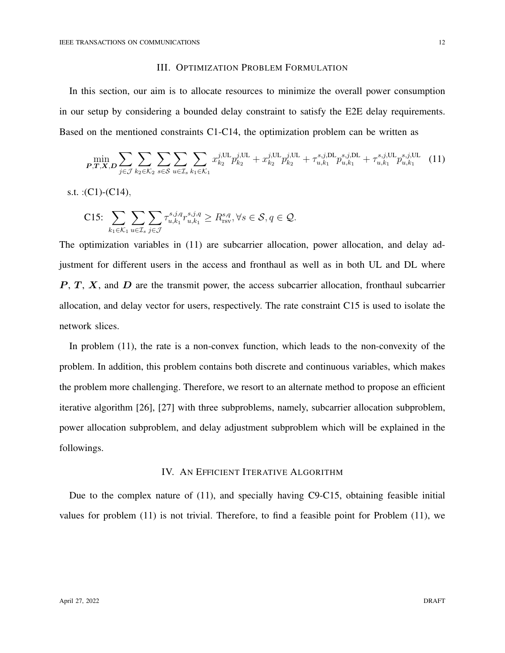#### III. OPTIMIZATION PROBLEM FORMULATION

In this section, our aim is to allocate resources to minimize the overall power consumption in our setup by considering a bounded delay constraint to satisfy the E2E delay requirements. Based on the mentioned constraints C1-C14, the optimization problem can be written as

$$
\min_{\mathbf{P},\mathbf{T},\mathbf{X},\mathbf{D}} \sum_{j\in\mathcal{J}} \sum_{k_2\in\mathcal{K}_2} \sum_{s\in\mathcal{S}} \sum_{u\in\mathcal{I}_s} \sum_{k_1\in\mathcal{K}_1} x_{k_2}^{j,\text{UL}} p_{k_2}^{j,\text{UL}} + x_{k_2}^{j,\text{UL}} p_{k_2}^{j,\text{UL}} + \tau_{u,k_1}^{s,j,\text{DL}} p_{u,k_1}^{s,j,\text{DL}} + \tau_{u,k_1}^{s,j,\text{UL}} p_{u,k_1}^{s,j,\text{UL}} \tag{11}
$$

s.t. :  $(C1)$ - $(C14)$ ,

C15: 
$$
\sum_{k_1 \in \mathcal{K}_1} \sum_{u \in \mathcal{I}_s} \sum_{j \in \mathcal{J}} \tau_{u,k_1}^{s,j,q} r_{u,k_1}^{s,j,q} \geq R_{\text{rsv}}^{s,q}, \forall s \in \mathcal{S}, q \in \mathcal{Q}.
$$

The optimization variables in (11) are subcarrier allocation, power allocation, and delay adjustment for different users in the access and fronthaul as well as in both UL and DL where  $P, T, X$ , and  $D$  are the transmit power, the access subcarrier allocation, fronthaul subcarrier allocation, and delay vector for users, respectively. The rate constraint C15 is used to isolate the network slices.

In problem (11), the rate is a non-convex function, which leads to the non-convexity of the problem. In addition, this problem contains both discrete and continuous variables, which makes the problem more challenging. Therefore, we resort to an alternate method to propose an efficient iterative algorithm [26], [27] with three subproblems, namely, subcarrier allocation subproblem, power allocation subproblem, and delay adjustment subproblem which will be explained in the followings.

## IV. AN EFFICIENT ITERATIVE ALGORITHM

Due to the complex nature of (11), and specially having C9-C15, obtaining feasible initial values for problem (11) is not trivial. Therefore, to find a feasible point for Problem (11), we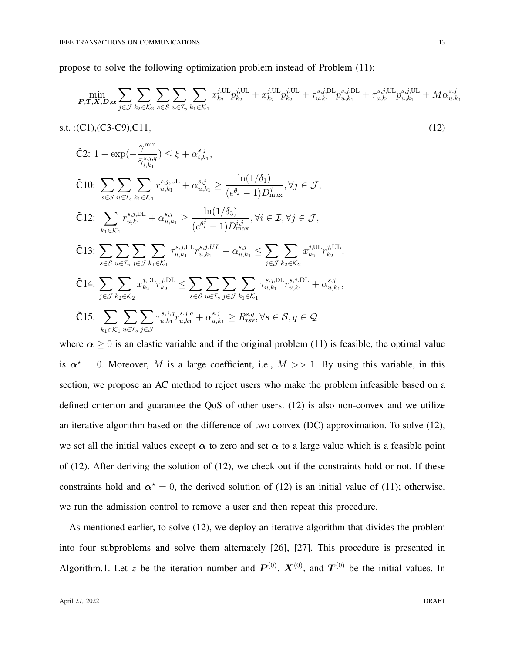propose to solve the following optimization problem instead of Problem (11):

$$
\min_{\mathbf{P},\mathbf{T},\mathbf{X},\mathbf{D},\alpha} \sum_{j\in\mathcal{J}} \sum_{k_2\in\mathcal{K}_2} \sum_{s\in\mathcal{S}} \sum_{u\in\mathcal{I}_s} \sum_{k_1\in\mathcal{K}_1} x_{k_2}^{j,\text{UL}} p_{k_2}^{j,\text{UL}} + x_{k_2}^{j,\text{UL}} p_{k_2}^{j,\text{UL}} + \tau_{u,k_1}^{s,j,\text{DL}} p_{u,k_1}^{s,j,\text{DL}} + \tau_{u,k_1}^{s,j,\text{UL}} p_{u,k_1}^{s,j,\text{UL}} + M\alpha_{u,k_1}^{s,j}
$$

s.t. :(C1),(C3-C9),C11, (12)

$$
\tilde{C}2: 1 - \exp\left(-\frac{\gamma^{\min}}{\bar{\gamma}_{i,k_1}^{s,j,q}}\right) \leq \xi + \alpha_{i,k_1}^{s,j},
$$
\n
$$
\tilde{C}10: \sum_{s \in S} \sum_{u \in \mathcal{I}_s} \sum_{k_1 \in \mathcal{K}_1} r_{u,k_1}^{s,j,UL} + \alpha_{u,k_1}^{s,j} \geq \frac{\ln(1/\delta_1)}{(e^{\theta_j} - 1)D_{\max}^j}, \forall j \in \mathcal{J},
$$
\n
$$
\tilde{C}12: \sum_{k_1 \in \mathcal{K}_1} r_{u,k_1}^{s,j,UL} + \alpha_{u,k_1}^{s,j} \geq \frac{\ln(1/\delta_3)}{(e^{\theta_i^j} - 1)D_{\max}^{i,j}}, \forall i \in \mathcal{I}, \forall j \in \mathcal{J},
$$
\n
$$
\tilde{C}13: \sum_{s \in S} \sum_{u \in \mathcal{I}_s} \sum_{j \in \mathcal{J}} \sum_{k_1 \in \mathcal{K}_1} \tau_{u,k_1}^{s,j,UL} r_{u,k_1}^{s,j,UL} - \alpha_{u,k_1}^{s,j} \leq \sum_{j \in \mathcal{J}} \sum_{k_2 \in \mathcal{K}_2} x_{k_2}^{j,UL} r_{k_2}^{j,UL},
$$
\n
$$
\tilde{C}14: \sum_{j \in \mathcal{J}} \sum_{k_2 \in \mathcal{K}_2} x_{k_2}^{j,DL} r_{k_2}^{j,DL} \leq \sum_{s \in S} \sum_{u \in \mathcal{I}_s} \sum_{j \in \mathcal{J}} \sum_{k_1 \in \mathcal{K}_1} \tau_{u,k_1}^{s,j,DL} r_{u,k_1}^{s,j,DL} + \alpha_{u,k_1}^{s,j},
$$
\n
$$
\tilde{C}15: \sum_{k_1 \in \mathcal{K}_1} \sum_{u \in \mathcal{I}_s} \sum_{j \in \mathcal{J}} \tau_{u,k_1}^{s,j,q} r_{u,k_1}^{s,j,q} + \alpha_{u,k_1}^{s,j} \geq R_{\text{rsv}}^{s,q}, \forall s \in \mathcal{S}, q \in \mathcal{Q}
$$

where  $\alpha \geq 0$  is an elastic variable and if the original problem (11) is feasible, the optimal value is  $\alpha^* = 0$ . Moreover, M is a large coefficient, i.e.,  $M \gg 1$ . By using this variable, in this section, we propose an AC method to reject users who make the problem infeasible based on a defined criterion and guarantee the QoS of other users. (12) is also non-convex and we utilize an iterative algorithm based on the difference of two convex (DC) approximation. To solve (12), we set all the initial values except  $\alpha$  to zero and set  $\alpha$  to a large value which is a feasible point of (12). After deriving the solution of (12), we check out if the constraints hold or not. If these constraints hold and  $\alpha^* = 0$ , the derived solution of (12) is an initial value of (11); otherwise, we run the admission control to remove a user and then repeat this procedure.

As mentioned earlier, to solve (12), we deploy an iterative algorithm that divides the problem into four subproblems and solve them alternately [26], [27]. This procedure is presented in Algorithm.1. Let z be the iteration number and  $P^{(0)}$ ,  $X^{(0)}$ , and  $T^{(0)}$  be the initial values. In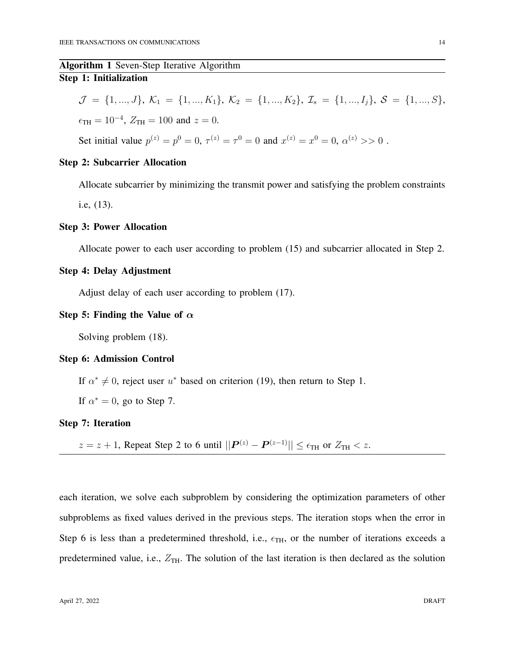# Algorithm 1 Seven-Step Iterative Algorithm Step 1: Initialization

$$
\mathcal{J} = \{1, ..., J\}, \ \mathcal{K}_1 = \{1, ..., K_1\}, \ \mathcal{K}_2 = \{1, ..., K_2\}, \ \mathcal{I}_s = \{1, ..., I_j\}, \ \mathcal{S} = \{1, ..., S\},
$$
  

$$
\epsilon_{\text{TH}} = 10^{-4}, \ Z_{\text{TH}} = 100 \text{ and } z = 0.
$$

Set initial value  $p^{(z)} = p^0 = 0$ ,  $\tau^{(z)} = \tau^0 = 0$  and  $x^{(z)} = x^0 = 0$ ,  $\alpha^{(z)} >> 0$ .

# Step 2: Subcarrier Allocation

Allocate subcarrier by minimizing the transmit power and satisfying the problem constraints i.e, (13).

# Step 3: Power Allocation

Allocate power to each user according to problem (15) and subcarrier allocated in Step 2.

# Step 4: Delay Adjustment

Adjust delay of each user according to problem (17).

## Step 5: Finding the Value of  $\alpha$

Solving problem (18).

#### Step 6: Admission Control

If  $\alpha^* \neq 0$ , reject user  $u^*$  based on criterion (19), then return to Step 1.

If  $\alpha^* = 0$ , go to Step 7.

## Step 7: Iteration

 $z = z + 1$ , Repeat Step 2 to 6 until  $||\mathbf{P}^{(z)} - \mathbf{P}^{(z-1)}|| \le \epsilon_{\text{TH}}$  or  $Z_{\text{TH}} < z$ .

each iteration, we solve each subproblem by considering the optimization parameters of other subproblems as fixed values derived in the previous steps. The iteration stops when the error in Step 6 is less than a predetermined threshold, i.e.,  $\epsilon_{TH}$ , or the number of iterations exceeds a predetermined value, i.e.,  $Z_{TH}$ . The solution of the last iteration is then declared as the solution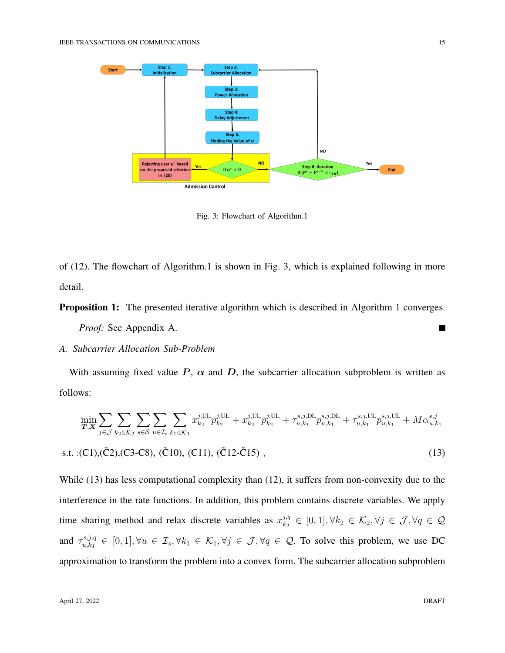

Fig. 3: Flowchart of Algorithm.1

of (12). The flowchart of Algorithm.1 is shown in Fig. 3, which is explained following in more detail.

**Proposition 1:** The presented iterative algorithm which is described in Algorithm 1 converges.

*Proof:* See Appendix A.

## *A. Subcarrier Allocation Sub-Problem*

With assuming fixed value  $P$ ,  $\alpha$  and  $D$ , the subcarrier allocation subproblem is written as follows:

$$
\min_{\mathbf{T},\mathbf{X}} \sum_{j\in\mathcal{J}} \sum_{k_2\in\mathcal{K}_2} \sum_{s\in\mathcal{S}} \sum_{u\in\mathcal{I}_s} \sum_{k_1\in\mathcal{K}_1} x_{k_2}^{j,\text{UL}} p_{k_2}^{j,\text{UL}} + x_{k_2}^{j,\text{UL}} p_{k_2}^{j,\text{UL}} + \tau_{u,k_1}^{s,j,\text{DL}} p_{u,k_1}^{s,j,\text{DL}} + \tau_{u,k_1}^{s,j,\text{UL}} p_{u,k_1}^{s,j,\text{UL}} + M\alpha_{u,k_1}^{s,j}
$$
\n
$$
\text{s.t. } \text{:(C1),(C2),(C3-C8), (C10), (C11), (C12-C15) }, \tag{13}
$$

While (13) has less computational complexity than (12), it suffers from non-convexity due to the interference in the rate functions. In addition, this problem contains discrete variables. We apply time sharing method and relax discrete variables as  $x_{k_2}^{j,q}$  $\mathcal{L}^{j,q}_{k_2} \in [0,1], \forall k_2 \in \mathcal{K}_2, \forall j \in \mathcal{J}, \forall q \in \mathcal{Q}$ and  $\tau_{u,k_1}^{s,j,q}$  $\mathcal{L}_{u,k_1}^{s,j,q} \in [0,1], \forall u \in \mathcal{I}_s, \forall k_1 \in \mathcal{K}_1, \forall j \in \mathcal{J}, \forall q \in \mathcal{Q}$ . To solve this problem, we use DC approximation to transform the problem into a convex form. The subcarrier allocation subproblem

Г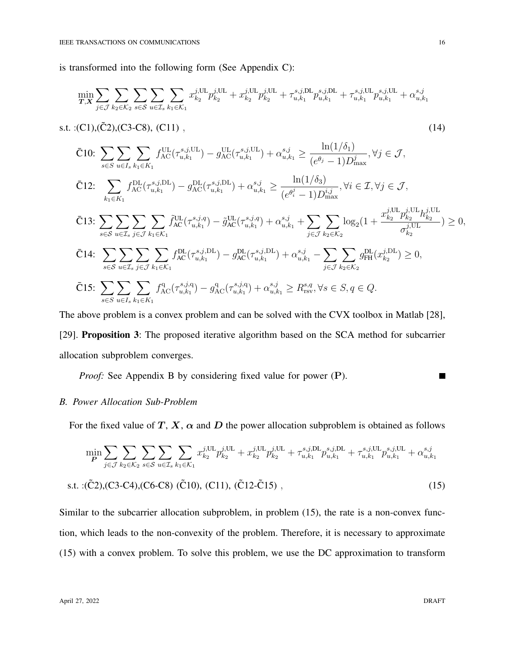is transformed into the following form (See Appendix C):

$$
\min_{\pmb{T},\pmb{X}} \sum_{j\in\mathcal{J}} \sum_{k_2\in\mathcal{K}_2} \sum_{s\in\mathcal{S}} \sum_{u\in\mathcal{I}_s} \sum_{k_1\in\mathcal{K}_1} x_{k_2}^{j,\text{UL}} p_{k_2}^{j,\text{UL}} + x_{k_2}^{j,\text{UL}} p_{k_2}^{j,\text{UL}} + \tau_{u,k_1}^{s,j,\text{DL}} p_{u,k_1}^{s,j,\text{DL}} + \tau_{u,k_1}^{s,j,\text{UL}} p_{u,k_1}^{s,j,\text{UL}} + \alpha_{u,k_1}^{s,j}
$$

s.t. :(C1),( $\tilde{C}$ 2),(C3-C8), (C11), (14)

- $\bar{C}10: \sum$ s∈S  $\sum$  $u \in I_s$  $\sum$  $k_1 \in K_1$  $f_{\rm AC}^{\rm UL}(\tau_{u, k_1}^{s,j, \rm UL}$  $g_{\mathrm{u},k_1}^{\mathrm{s},j,\mathrm{UL}}-g_{\mathrm{AC}}^{\mathrm{UL}}(\tau_{u,k_1}^{\mathrm{s},j,\mathrm{UL}})$  $\lambda_{u,k_1}^{s,j,\text{UL}} + \alpha_{u,k_1}^{s,j} \geq \frac{\ln(1/\delta_1)}{(\delta_1 \delta_1)}$  $(e^{\theta_j}-1)D_{\max}^j$  $, \forall j \in \mathcal{J},$
- $\bar{C}$ 12:  $\sum$  $k_1 \in K_1$  $f_{\rm AC}^{\rm DL}(\tau_{u, k_1}^{s, j, \rm DL}$  $\binom{s,j,\text{DL}}{u,k_1} - g_{\text{AC}}^{\text{DL}}(\tau^{s,j,\text{DL}}_{u,k_1})$  $\lambda_{u,k_1}^{s,j,\text{DL}} + \alpha_{u,k_1}^{s,j} \geq \frac{\ln(1/\delta_3)}{(\delta_3)^{j+1}}$  $(e^{\theta_i^j}-1)D_{\max}^{i,j}$  $, \forall i \in \mathcal{I}, \forall j \in \mathcal{J},$

$$
\bar{C}_{13}: \sum_{s \in S} \sum_{u \in \mathcal{I}_s} \sum_{j \in \mathcal{J}} \sum_{k_1 \in \mathcal{K}_1} \tilde{f}_{AC}^{UL}(\tau_{u,k_1}^{s,j,q}) - \tilde{g}_{AC}^{UL}(\tau_{u,k_1}^{s,j,q}) + \alpha_{u,k_1}^{s,j} + \sum_{j \in \mathcal{J}} \sum_{k_2 \in \mathcal{K}_2} \log_2(1 + \frac{x_{k_2}^{j,UL} p_{k_2}^{j,UL} h_{k_2}^{j,UL}}{\sigma_{k_2}^{j,UL}}) \ge 0,
$$
\n
$$
\bar{C}_{14}: \sum_{s \in S} \sum_{u \in \mathcal{I}_s} \sum_{j \in \mathcal{J}} \sum_{k_1 \in \mathcal{K}_1} f_{AC}^{DL}(\tau_{u,k_1}^{s,j,DL}) - g_{AC}^{DL}(\tau_{u,k_1}^{s,j,DL}) + \alpha_{u,k_1}^{s,j} - \sum_{j \in \mathcal{J}} \sum_{k_2 \in \mathcal{K}_2} g_{FH}^{DL}(x_{k_2}^{j,DL}) \ge 0,
$$
\n
$$
\bar{C}_{15}: \sum \sum \sum \sum f_{AC}^{q}(\tau_{u,k_1}^{s,j,q}) - g_{AC}^{q}(\tau_{u,k_1}^{s,j,q}) + \alpha_{u,k_1}^{s,j} \ge R_{\text{rsv}}^{s,q}, \forall s \in S, q \in Q.
$$

The above problem is a convex problem and can be solved with the CVX toolbox in Matlab [28],

[29]. Proposition 3: The proposed iterative algorithm based on the SCA method for subcarrier allocation subproblem converges.

*Proof:* See Appendix B by considering fixed value for power (P).

#### *B. Power Allocation Sub-Problem*

s∈S  $u \in I_s$   $k_1 \in K_1$ 

For the fixed value of T, X,  $\alpha$  and D the power allocation subproblem is obtained as follows

$$
\min_{\mathbf{P}} \sum_{j \in \mathcal{J}} \sum_{k_2 \in \mathcal{K}_2} \sum_{s \in \mathcal{S}} \sum_{u \in \mathcal{I}_s} \sum_{k_1 \in \mathcal{K}_1} x_{k_2}^{j, \text{UL}} p_{k_2}^{j, \text{UL}} + x_{k_2}^{j, \text{UL}} p_{k_2}^{j, \text{UL}} + \tau_{u, k_1}^{s, j, \text{DL}} p_{u, k_1}^{s, j, \text{DL}} + \tau_{u, k_1}^{s, j, \text{UL}} p_{u, k_1}^{s, j, \text{UL}} + \alpha_{u, k_1}^{s, j}
$$
\ns.t. :( $\tilde{C}2$ ), $(C3-C4)$ , $(C6-C8)$  ( $\tilde{C}10$ ),  $(C11)$ , ( $\tilde{C}12-\tilde{C}15$ ), (15)

Similar to the subcarrier allocation subproblem, in problem (15), the rate is a non-convex function, which leads to the non-convexity of the problem. Therefore, it is necessary to approximate (15) with a convex problem. To solve this problem, we use the DC approximation to transform

Г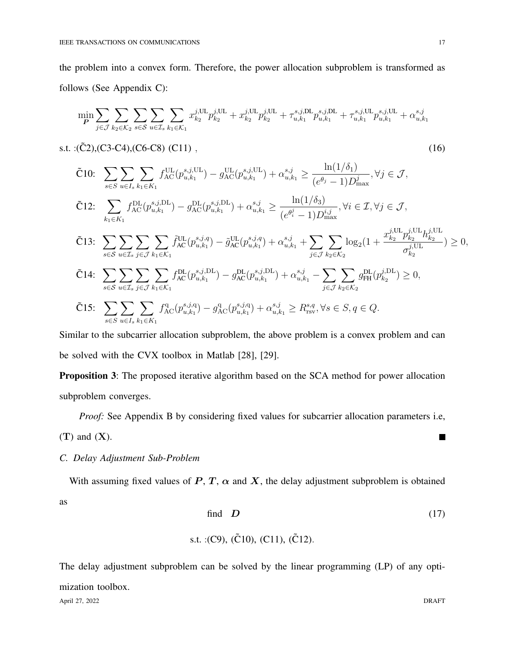the problem into a convex form. Therefore, the power allocation subproblem is transformed as follows (See Appendix C):

$$
\min_{\textbf{P}} \sum_{j \in \mathcal{J}} \sum_{k_2 \in \mathcal{K}_2} \sum_{s \in \mathcal{S}} \sum_{u \in \mathcal{I}_s} \sum_{k_1 \in \mathcal{K}_1} x_{k_2}^{j,\text{UL}} p_{k_2}^{j,\text{UL}} + x_{k_2}^{j,\text{UL}} p_{k_2}^{j,\text{UL}} + \tau_{u,k_1}^{s,j,\text{DL}} p_{u,k_1}^{s,j,\text{DL}} + \tau_{u,k_1}^{s,j,\text{UL}} p_{u,k_1}^{s,j,\text{UL}} + \alpha_{u,k_1}^{s,j}
$$

s.t. : $(\tilde{C}2)$ ,(C3-C4),(C6-C8) (C11), (16)

 $\tilde{C}10: \sum$ s∈S  $\sum$  $u \in I_s$  $\sum$  $k_1 \in K_1$  $f_{\rm AC}^{\rm UL}(p_{u,k_1}^{s,j, {\rm UL}})$  $(y_{u,k_1}^{s,j,\mathrm{UL}}) - g_{\rm AC}^{\rm UL}(p_{u,k_1}^{s,j,\mathrm{UL}})$  $\sum_{u,k_1}^{s,j,\text{UL}} + \alpha_{u,k_1}^{s,j} \geq \frac{\ln(1/\delta_1)}{(\epsilon_1^{\theta_{i-1}} + \epsilon_2^{\theta_{i-1}})}$  $(e^{\theta_j}-1)D_{\max}^j$  $, \forall j \in \mathcal{J},$ 

$$
\tilde{C}12: \sum_{k_1 \in K_1} f_{AC}^{DL}(p_{u,k_1}^{s,j,DL}) - g_{AC}^{DL}(p_{u,k_1}^{s,j,DL}) + \alpha_{u,k_1}^{s,j} \ge \frac{\ln(1/\delta_3)}{(e^{\theta_i^j} - 1)D_{\max}^{i,j}}, \forall i \in \mathcal{I}, \forall j \in \mathcal{J},
$$

$$
\tilde{C}13: \sum_{s \in \mathcal{S}} \sum_{u \in \mathcal{I}_s} \sum_{j \in \mathcal{J}} \sum_{k_1 \in \mathcal{K}_1} \tilde{f}_{AC}^{UL}(p_{u,k_1}^{s,j,q}) - \tilde{g}_{AC}^{UL}(p_{u,k_1}^{s,j,q}) + \alpha_{u,k_1}^{s,j} + \sum_{j \in \mathcal{J}} \sum_{k_2 \in \mathcal{K}_2} \log_2(1 + \frac{x_{k_2}^{j,UL} p_{k_2}^{j,UL} h_{k_2}^{j,UL}}{\sigma_{k_2}^{j,UL}}) \ge 0,
$$

$$
\tilde{C}14: \sum_{s \in \mathcal{S}} \sum_{u \in \mathcal{I}_s} \sum_{j \in \mathcal{J}} \sum_{k_1 \in \mathcal{K}_1} f_{AC}^{DL}(p_{u,k_1}^{s,j,DL}) - g_{AC}^{DL}(p_{u,k_1}^{s,j,DL}) + \alpha_{u,k_1}^{s,j} - \sum_{j \in \mathcal{J}} \sum_{k_2 \in \mathcal{K}_2} g_{FH}^{DL}(p_{k_2}^{j,DL}) \ge 0,
$$

$$
\tilde{C}15: \sum_{s \in S} \sum_{u \in I_s} \sum_{k_1 \in K_1} f_{AC}^q(p_{u,k_1}^{s,j,q}) - g_{AC}^q(p_{u,k_1}^{s,j,q}) + \alpha_{u,k_1}^{s,j} \ge R_{\text{rsv}}^{s,q}, \forall s \in S, q \in Q.
$$

Similar to the subcarrier allocation subproblem, the above problem is a convex problem and can be solved with the CVX toolbox in Matlab [28], [29].

**Proposition 3:** The proposed iterative algorithm based on the SCA method for power allocation subproblem converges.

*Proof:* See Appendix B by considering fixed values for subcarrier allocation parameters i.e,

 $(T)$  and  $(X)$ .

*C. Delay Adjustment Sub-Problem*

With assuming fixed values of  $P, T, \alpha$  and  $X$ , the delay adjustment subproblem is obtained as

find 
$$
D
$$
 (17)

s.t. :
$$
(C9)
$$
,  $(\tilde{C}10)$ ,  $(C11)$ ,  $(\tilde{C}12)$ .

The delay adjustment subproblem can be solved by the linear programming (LP) of any optimization toolbox.

April 27, 2022 DRAFT

П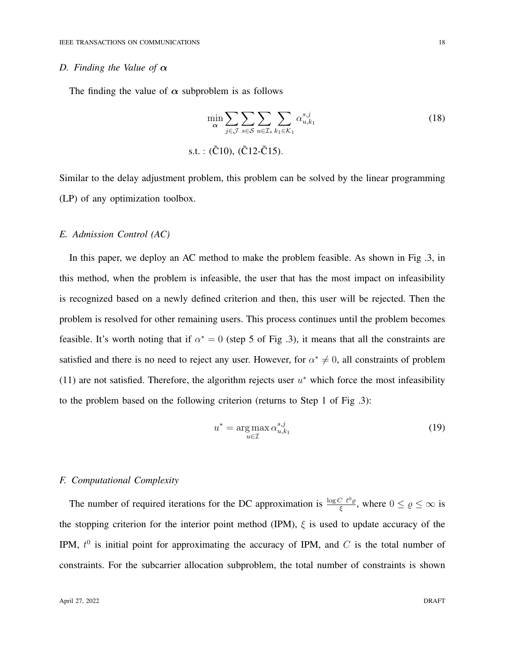## *D. Finding the Value of*  $\alpha$

The finding the value of  $\alpha$  subproblem is as follows

$$
\min_{\alpha} \sum_{j \in \mathcal{J}} \sum_{s \in \mathcal{S}} \sum_{u \in \mathcal{I}_s} \sum_{k_1 \in \mathcal{K}_1} \alpha_{u,k_1}^{s,j}
$$
\ns.t. : (Č10), (Č12-Č15).

Similar to the delay adjustment problem, this problem can be solved by the linear programming (LP) of any optimization toolbox.

#### *E. Admission Control (AC)*

In this paper, we deploy an AC method to make the problem feasible. As shown in Fig .3, in this method, when the problem is infeasible, the user that has the most impact on infeasibility is recognized based on a newly defined criterion and then, this user will be rejected. Then the problem is resolved for other remaining users. This process continues until the problem becomes feasible. It's worth noting that if  $\alpha^* = 0$  (step 5 of Fig .3), it means that all the constraints are satisfied and there is no need to reject any user. However, for  $\alpha^* \neq 0$ , all constraints of problem (11) are not satisfied. Therefore, the algorithm rejects user  $u^*$  which force the most infeasibility to the problem based on the following criterion (returns to Step 1 of Fig .3):

$$
u^* = \underset{u \in \mathcal{I}}{\arg \max} \, \alpha_{u,k_1}^{s,j} \tag{19}
$$

# *F. Computational Complexity*

The number of required iterations for the DC approximation is  $\frac{\log C t^0 \varrho}{\xi}$ , where  $0 \le \varrho \le \infty$  is the stopping criterion for the interior point method (IPM),  $\xi$  is used to update accuracy of the IPM,  $t^0$  is initial point for approximating the accuracy of IPM, and C is the total number of constraints. For the subcarrier allocation subproblem, the total number of constraints is shown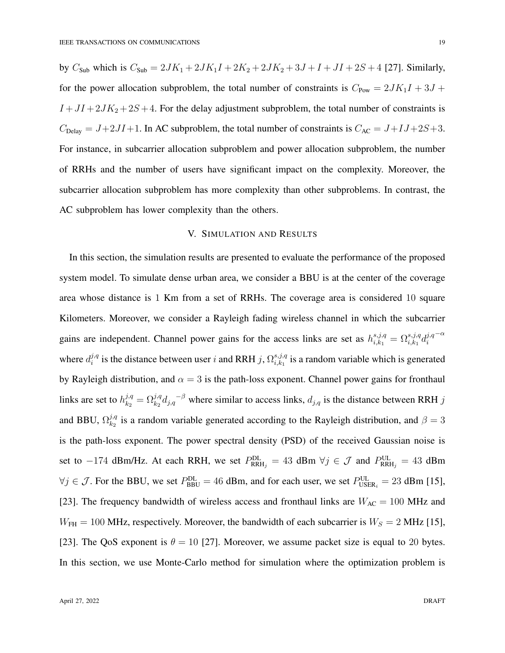by  $C_{\text{Sub}}$  which is  $C_{\text{Sub}} = 2JK_1 + 2JK_1I + 2K_2 + 2JK_2 + 3J + I + JI + 2S + 4$  [27]. Similarly, for the power allocation subproblem, the total number of constraints is  $C_{\text{Pow}} = 2JK_1I + 3J +$  $I +JI + 2JK_2 +2S +4$ . For the delay adjustment subproblem, the total number of constraints is  $C_{\text{Delay}} = J + 2JI + 1$ . In AC subproblem, the total number of constraints is  $C_{\text{AC}} = J + IJ + 2S + 3$ . For instance, in subcarrier allocation subproblem and power allocation subproblem, the number of RRHs and the number of users have significant impact on the complexity. Moreover, the subcarrier allocation subproblem has more complexity than other subproblems. In contrast, the AC subproblem has lower complexity than the others.

# V. SIMULATION AND RESULTS

In this section, the simulation results are presented to evaluate the performance of the proposed system model. To simulate dense urban area, we consider a BBU is at the center of the coverage area whose distance is 1 Km from a set of RRHs. The coverage area is considered 10 square Kilometers. Moreover, we consider a Rayleigh fading wireless channel in which the subcarrier gains are independent. Channel power gains for the access links are set as  $h_{i,k_1}^{s,j,q} = \Omega_{i,k_1}^{s,j,q} d_i^{j,q}$ i  $-\alpha$ where  $d_i^{j,q}$  $i_j^{j,q}$  is the distance between user i and RRH j,  $\Omega_{i,k_1}^{s,j,q}$  $\sum_{i,k_1}^{s,j,q}$  is a random variable which is generated by Rayleigh distribution, and  $\alpha = 3$  is the path-loss exponent. Channel power gains for fronthaul links are set to  $h_{k_2}^{j,q} = \Omega_{k_2}^{j,q} d_{j,q}^{-\beta}$  where similar to access links,  $d_{j,q}$  is the distance between RRH j and BBU,  $\Omega_{k_2}^{j,q}$  $\frac{\partial \mathcal{H}}{\partial k_2}$  is a random variable generated according to the Rayleigh distribution, and  $\beta = 3$ is the path-loss exponent. The power spectral density (PSD) of the received Gaussian noise is set to  $-174$  dBm/Hz. At each RRH, we set  $P_{RRH_j}^{DL} = 43$  dBm  $\forall j \in \mathcal{J}$  and  $P_{RRH_j}^{UL} = 43$  dBm  $\forall j \in \mathcal{J}$ . For the BBU, we set  $P_{\text{BBU}}^{\text{DL}} = 46$  dBm, and for each user, we set  $P_{\text{USER}_i}^{\text{UL}} = 23$  dBm [15], [23]. The frequency bandwidth of wireless access and fronthaul links are  $W_{AC} = 100$  MHz and  $W_{\text{FH}} = 100 \text{ MHz}$ , respectively. Moreover, the bandwidth of each subcarrier is  $W_S = 2 \text{ MHz}$  [15], [23]. The QoS exponent is  $\theta = 10$  [27]. Moreover, we assume packet size is equal to 20 bytes. In this section, we use Monte-Carlo method for simulation where the optimization problem is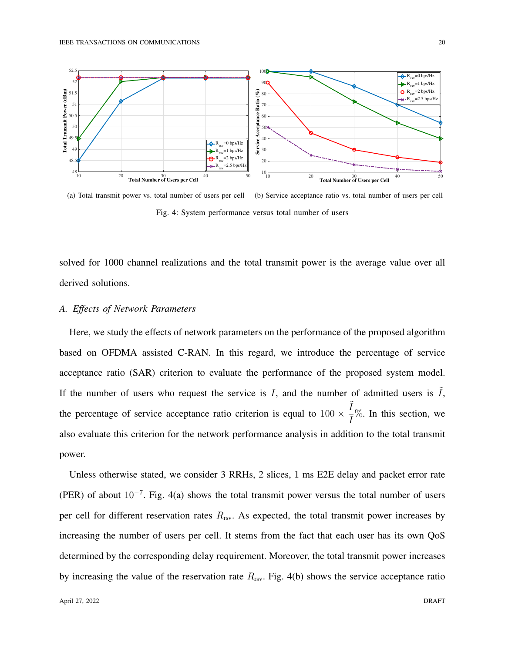

(a) Total transmit power vs. total number of users per cell (b) Service acceptance ratio vs. total number of users per cell Fig. 4: System performance versus total number of users

solved for 1000 channel realizations and the total transmit power is the average value over all derived solutions.

#### *A. Effects of Network Parameters*

Here, we study the effects of network parameters on the performance of the proposed algorithm based on OFDMA assisted C-RAN. In this regard, we introduce the percentage of service acceptance ratio (SAR) criterion to evaluate the performance of the proposed system model. If the number of users who request the service is  $I$ , and the number of admitted users is  $\tilde{I}$ , the percentage of service acceptance ratio criterion is equal to  $100 \times$  $\tilde{I}$  $\frac{1}{I}\%$ . In this section, we also evaluate this criterion for the network performance analysis in addition to the total transmit power.

Unless otherwise stated, we consider 3 RRHs, 2 slices, 1 ms E2E delay and packet error rate (PER) of about  $10^{-7}$ . Fig. 4(a) shows the total transmit power versus the total number of users per cell for different reservation rates  $R_{\text{rsv}}$ . As expected, the total transmit power increases by increasing the number of users per cell. It stems from the fact that each user has its own QoS determined by the corresponding delay requirement. Moreover, the total transmit power increases by increasing the value of the reservation rate  $R_{\text{rsv}}$ . Fig. 4(b) shows the service acceptance ratio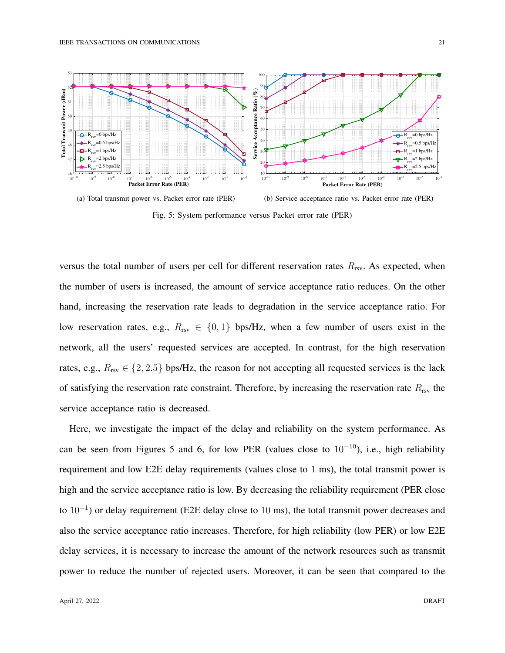

Fig. 5: System performance versus Packet error rate (PER)

versus the total number of users per cell for different reservation rates  $R_{\rm{rsv}}$ . As expected, when the number of users is increased, the amount of service acceptance ratio reduces. On the other hand, increasing the reservation rate leads to degradation in the service acceptance ratio. For low reservation rates, e.g.,  $R_{rsv} \in \{0, 1\}$  bps/Hz, when a few number of users exist in the network, all the users' requested services are accepted. In contrast, for the high reservation rates, e.g.,  $R_{rsv} \in \{2, 2.5\}$  bps/Hz, the reason for not accepting all requested services is the lack of satisfying the reservation rate constraint. Therefore, by increasing the reservation rate  $R_{\rm rsv}$  the service acceptance ratio is decreased.

Here, we investigate the impact of the delay and reliability on the system performance. As can be seen from Figures 5 and 6, for low PER (values close to  $10^{-10}$ ), i.e., high reliability requirement and low E2E delay requirements (values close to 1 ms), the total transmit power is high and the service acceptance ratio is low. By decreasing the reliability requirement (PER close to  $10^{-1}$ ) or delay requirement (E2E delay close to 10 ms), the total transmit power decreases and also the service acceptance ratio increases. Therefore, for high reliability (low PER) or low E2E delay services, it is necessary to increase the amount of the network resources such as transmit power to reduce the number of rejected users. Moreover, it can be seen that compared to the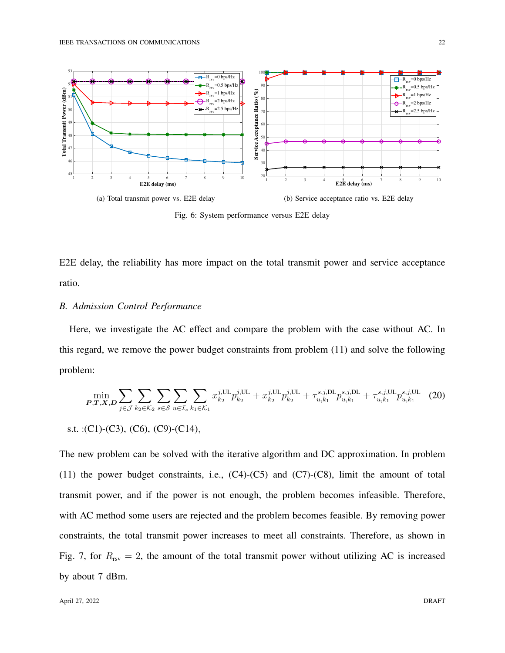

Fig. 6: System performance versus E2E delay

E2E delay, the reliability has more impact on the total transmit power and service acceptance ratio.

## *B. Admission Control Performance*

Here, we investigate the AC effect and compare the problem with the case without AC. In this regard, we remove the power budget constraints from problem (11) and solve the following problem:

$$
\min_{P,T,X,D} \sum_{j \in \mathcal{J}} \sum_{k_2 \in \mathcal{K}_2} \sum_{s \in \mathcal{S}} \sum_{u \in \mathcal{I}_s} \sum_{k_1 \in \mathcal{K}_1} x_{k_2}^{j,\text{UL}} p_{k_2}^{j,\text{UL}} + x_{k_2}^{j,\text{UL}} p_{k_2}^{j,\text{UL}} + \tau_{u,k_1}^{s,j,\text{DL}} p_{u,k_1}^{s,j,\text{DL}} + \tau_{u,k_1}^{s,j,\text{UL}} p_{u,k_1}^{s,j,\text{UL}} \tag{20}
$$

s.t. :
$$
(C1)
$$
- $(C3)$ ,  $(C6)$ ,  $(C9)$ - $(C14)$ ,

The new problem can be solved with the iterative algorithm and DC approximation. In problem (11) the power budget constraints, i.e.,  $(C4)-(C5)$  and  $(C7)-(C8)$ , limit the amount of total transmit power, and if the power is not enough, the problem becomes infeasible. Therefore, with AC method some users are rejected and the problem becomes feasible. By removing power constraints, the total transmit power increases to meet all constraints. Therefore, as shown in Fig. 7, for  $R_{rsv} = 2$ , the amount of the total transmit power without utilizing AC is increased by about 7 dBm.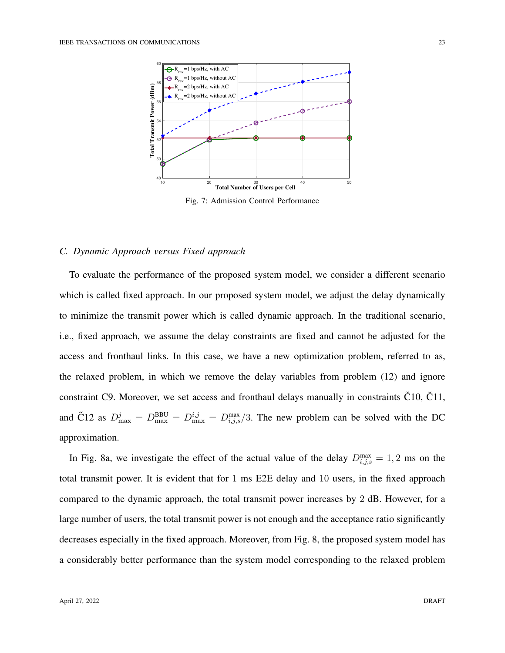

Fig. 7: Admission Control Performance

#### *C. Dynamic Approach versus Fixed approach*

To evaluate the performance of the proposed system model, we consider a different scenario which is called fixed approach. In our proposed system model, we adjust the delay dynamically to minimize the transmit power which is called dynamic approach. In the traditional scenario, i.e., fixed approach, we assume the delay constraints are fixed and cannot be adjusted for the access and fronthaul links. In this case, we have a new optimization problem, referred to as, the relaxed problem, in which we remove the delay variables from problem (12) and ignore constraint C9. Moreover, we set access and fronthaul delays manually in constraints C10, C11, and C12 as  $D_{\text{max}}^j = D_{\text{max}}^{\text{BBU}} = D_{\text{max}}^{i,j} = D_{i,j,s}^{\text{max}}/3$ . The new problem can be solved with the DC approximation.

In Fig. 8a, we investigate the effect of the actual value of the delay  $D_{i,j,s}^{\max} = 1, 2$  ms on the total transmit power. It is evident that for 1 ms E2E delay and 10 users, in the fixed approach compared to the dynamic approach, the total transmit power increases by 2 dB. However, for a large number of users, the total transmit power is not enough and the acceptance ratio significantly decreases especially in the fixed approach. Moreover, from Fig. 8, the proposed system model has a considerably better performance than the system model corresponding to the relaxed problem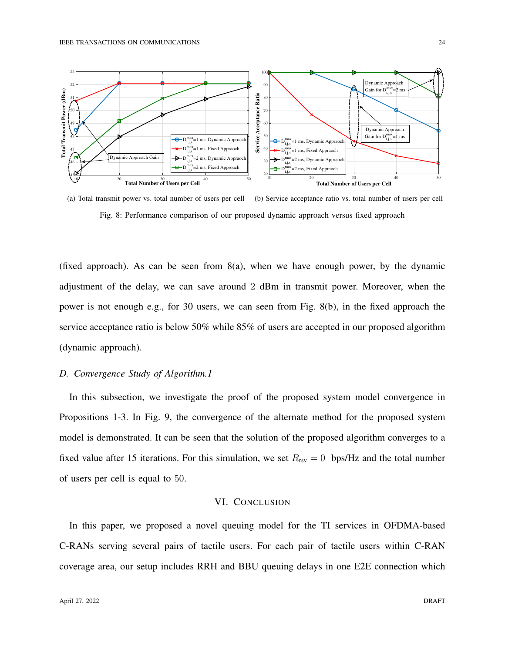

(a) Total transmit power vs. total number of users per cell (b) Service acceptance ratio vs. total number of users per cell Fig. 8: Performance comparison of our proposed dynamic approach versus fixed approach

(fixed approach). As can be seen from 8(a), when we have enough power, by the dynamic adjustment of the delay, we can save around 2 dBm in transmit power. Moreover, when the power is not enough e.g., for 30 users, we can seen from Fig. 8(b), in the fixed approach the service acceptance ratio is below 50% while 85% of users are accepted in our proposed algorithm (dynamic approach).

## *D. Convergence Study of Algorithm.1*

In this subsection, we investigate the proof of the proposed system model convergence in Propositions 1-3. In Fig. 9, the convergence of the alternate method for the proposed system model is demonstrated. It can be seen that the solution of the proposed algorithm converges to a fixed value after 15 iterations. For this simulation, we set  $R_{rsv} = 0$  bps/Hz and the total number of users per cell is equal to 50.

#### VI. CONCLUSION

In this paper, we proposed a novel queuing model for the TI services in OFDMA-based C-RANs serving several pairs of tactile users. For each pair of tactile users within C-RAN coverage area, our setup includes RRH and BBU queuing delays in one E2E connection which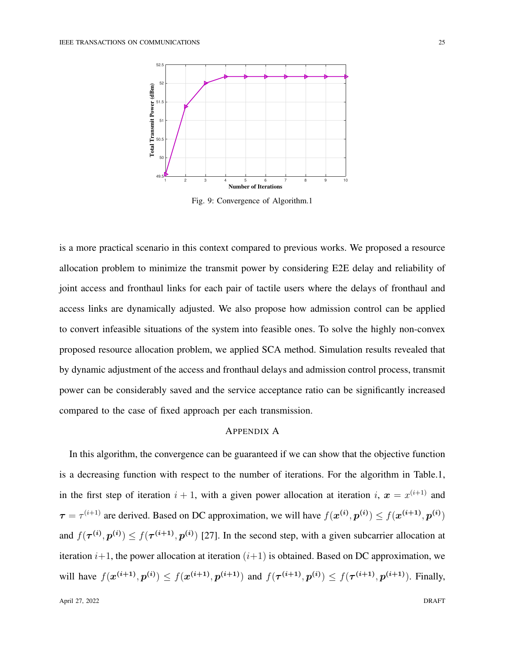

Fig. 9: Convergence of Algorithm.1

is a more practical scenario in this context compared to previous works. We proposed a resource allocation problem to minimize the transmit power by considering E2E delay and reliability of joint access and fronthaul links for each pair of tactile users where the delays of fronthaul and access links are dynamically adjusted. We also propose how admission control can be applied to convert infeasible situations of the system into feasible ones. To solve the highly non-convex proposed resource allocation problem, we applied SCA method. Simulation results revealed that by dynamic adjustment of the access and fronthaul delays and admission control process, transmit power can be considerably saved and the service acceptance ratio can be significantly increased compared to the case of fixed approach per each transmission.

# APPENDIX A

In this algorithm, the convergence can be guaranteed if we can show that the objective function is a decreasing function with respect to the number of iterations. For the algorithm in Table.1, in the first step of iteration  $i + 1$ , with a given power allocation at iteration  $i, x = x^{(i+1)}$  and  $\tau = \tau^{(i+1)}$  are derived. Based on DC approximation, we will have  $f(x^{(i)}, p^{(i)}) \le f(x^{(i+1)}, p^{(i)})$ and  $f(\tau^{(i)}, p^{(i)}) \le f(\tau^{(i+1)}, p^{(i)})$  [27]. In the second step, with a given subcarrier allocation at iteration  $i+1$ , the power allocation at iteration  $(i+1)$  is obtained. Based on DC approximation, we will have  $f(x^{(i+1)}, p^{(i)}) \le f(x^{(i+1)}, p^{(i+1)})$  and  $f(\tau^{(i+1)}, p^{(i)}) \le f(\tau^{(i+1)}, p^{(i+1)})$ . Finally,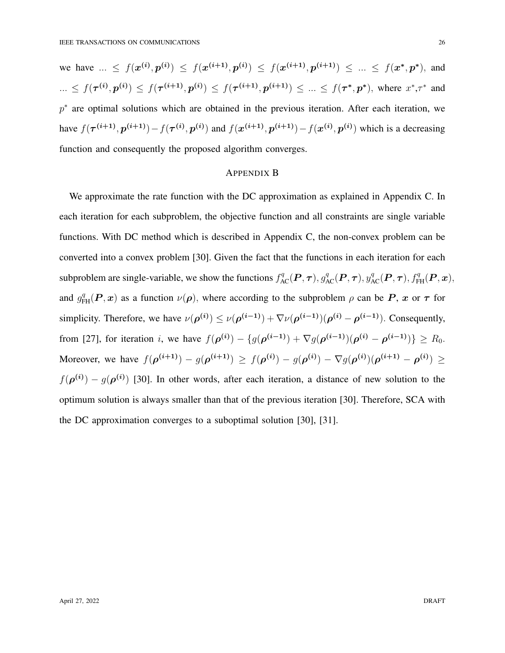we have  $\ldots \leq f(x^{(i)}, p^{(i)}) \leq f(x^{(i+1)}, p^{(i)}) \leq f(x^{(i+1)}, p^{(i+1)}) \leq \ldots \leq f(x^*, p^*)$ , and  $\ldots \leq f(\tau^{(i)}, p^{(i)}) \leq f(\tau^{(i+1)}, p^{(i)}) \leq f(\tau^{(i+1)}, p^{(i+1)}) \leq \ldots \leq f(\tau^*, p^*)$ , where  $x^*, \tau^*$  and  $p^*$  are optimal solutions which are obtained in the previous iteration. After each iteration, we have  $f(\tau^{(i+1)}, p^{(i+1)}) - f(\tau^{(i)}, p^{(i)})$  and  $f(x^{(i+1)}, p^{(i+1)}) - f(x^{(i)}, p^{(i)})$  which is a decreasing function and consequently the proposed algorithm converges.

#### APPENDIX B

We approximate the rate function with the DC approximation as explained in Appendix C. In each iteration for each subproblem, the objective function and all constraints are single variable functions. With DC method which is described in Appendix C, the non-convex problem can be converted into a convex problem [30]. Given the fact that the functions in each iteration for each subproblem are single-variable, we show the functions  $f_{AC}^q(P, \tau)$ ,  $g_{AC}^q(P, \tau)$ ,  $y_{AC}^q(P, \tau)$ ,  $f_{FH}^q(P, x)$ , and  $g_{FH}^{q}(P, x)$  as a function  $\nu(\rho)$ , where according to the subproblem  $\rho$  can be P, x or  $\tau$  for simplicity. Therefore, we have  $\nu(\rho^{(i)}) \le \nu(\rho^{(i-1)}) + \nabla \nu(\rho^{(i-1)}) (\rho^{(i)} - \rho^{(i-1)})$ . Consequently, from [27], for iteration *i*, we have  $f(\rho^{(i)}) - \{g(\rho^{(i-1)}) + \nabla g(\rho^{(i-1)}) (\rho^{(i)} - \rho^{(i-1)})\} \ge R_0$ . Moreover, we have  $f(\rho^{(i+1)}) - g(\rho^{(i+1)}) \ge f(\rho^{(i)}) - g(\rho^{(i)}) - \nabla g(\rho^{(i)}) (\rho^{(i+1)} - \rho^{(i)}) \ge$  $f(\boldsymbol{\rho}^{(i)}) - g(\boldsymbol{\rho}^{(i)})$  [30]. In other words, after each iteration, a distance of new solution to the optimum solution is always smaller than that of the previous iteration [30]. Therefore, SCA with the DC approximation converges to a suboptimal solution [30], [31].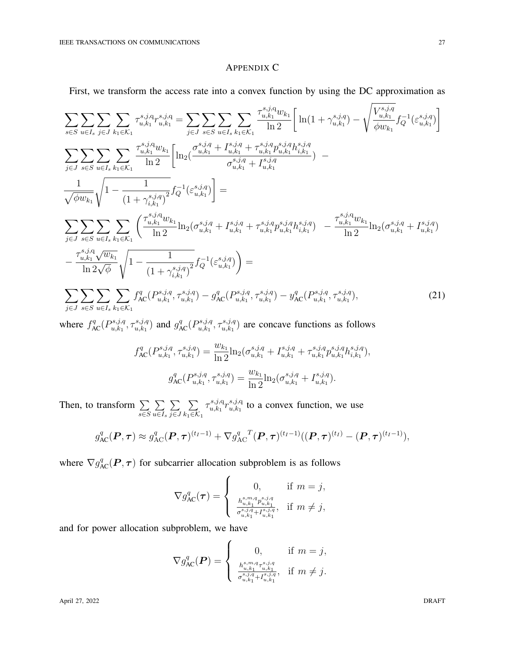#### APPENDIX C

First, we transform the access rate into a convex function by using the DC approximation as

$$
\sum_{s\in S}\sum_{u\in I_s}\sum_{j\in J}\sum_{k_1\in K_1}\tau_{u,k_1}^{s,j,q}r_{u,k_1}^{s,j,q} = \sum_{j\in J}\sum_{s\in S}\sum_{u\in I_s}\sum_{k_1\in K_1}\frac{\tau_{u,k_1}^{s,j,q}w_{k_1}}{\ln 2}\left[\ln(1+\gamma_{u,k_1}^{s,j,q}) - \sqrt{\frac{V_{u,k_1}^{s,j,q}}{\phi w_{k_1}}}f_Q^{-1}(\varepsilon_{u,k_1}^{s,j,q})\right]
$$
\n
$$
\sum_{j\in J}\sum_{s\in S}\sum_{u\in I_s}\sum_{k_1\in K_1}\frac{\tau_{u,k_1}^{s,j,q}w_{k_1}}{\ln 2}\left[\ln_2(\frac{\sigma_{u,k_1}^{s,j,q} + I_{u,k_1}^{s,j,q} + \tau_{u,k_1}^{s,j,q}p_{u,k_1}^{s,j,q}h_{i,k_1}^{s,j,q}}{\sigma_{u,k_1}^{s,j,q} + I_{u,k_1}^{s,j,q}}) - \frac{1}{\sqrt{\phi w_{k_1}}}\sqrt{1-\frac{1}{(1+\gamma_{i,k_1}^{s,j,q})^2}}f_Q^{-1}(\varepsilon_{u,k_1}^{s,j,q})\right] =
$$
\n
$$
\sum_{j\in J}\sum_{s\in S}\sum_{u\in I_s}\sum_{k_1\in K_1}\left(\frac{\tau_{u,k_1}^{s,j,q}w_{k_1}}{\ln 2}\ln_2(\sigma_{u,k_1}^{s,j,q} + I_{u,k_1}^{s,j,q} + \tau_{u,k_1}^{s,j,q}p_{u,k_1}^{s,j,q}h_{i,k_1}^{s,j,q}) - \frac{\tau_{u,k_1}^{s,j,q}w_{k_1}}{\ln 2}\ln_2(\sigma_{u,k_1}^{s,j,q} + I_{u,k_1}^{s,j,q})\right]
$$
\n
$$
-\frac{\tau_{u,k_1}^{s,j,q}\sqrt{w_{k_1}}}{\ln 2\sqrt{\phi}}\sqrt{1-\frac{1}{(1+\gamma_{i,k_1}^{s,j,q})^2}}f_Q^{-1}(\varepsilon_{u,k_1}^{s,j,q})\right) =
$$
\n
$$
\sum_{j\in J}\sum_{s\in S}\sum_{u\in I_s}\sum_{k_1\in K_1}f_{AC}^q(P_{u,k_
$$

where  $f_{AC}^q(P_{u,k_1}^{s,j,q})$  $\tau_{u,k_1}^{s,j,q}, \tau_{u,k_1}^{s,j,q}$  $\binom{s,j,q}{u,k_1}$  and  $g_{AC}^q(P_{u,k_1}^{s,j,q})$  $\tau_{u,k_1}^{s,j,q}, \tau_{u,k_1}^{s,j,q}$  $\binom{s, j, q}{u, k_1}$  are concave functions as follows

$$
f_{AC}^{q}(P_{u,k_1}^{s,j,q}, \tau_{u,k_1}^{s,j,q}) = \frac{w_{k_1}}{\ln 2} \ln_2(\sigma_{u,k_1}^{s,j,q} + I_{u,k_1}^{s,j,q} + \tau_{u,k_1}^{s,j,q} p_{u,k_1}^{s,j,q} h_{i,k_1}^{s,j,q}),
$$

$$
g_{AC}^{q}(P_{u,k_1}^{s,j,q}, \tau_{u,k_1}^{s,j,q}) = \frac{w_{k_1}}{\ln 2} \ln_2(\sigma_{u,k_1}^{s,j,q} + I_{u,k_1}^{s,j,q}).
$$

Then, to transform  $\Sigma$ s∈S  $\sum$  $u \in I_s$  $\sum$ j∈J  $\sum$  $k_1 \in \mathcal{K}_1$  $\tau^{s,j,\mathrm{q}}_{u,k_1}$  ${}_{u,k_1}\hskip-.04in r_{u,k_1}^{s,j,\mathbf{q}}$  $\sum_{u,k_1}^{s,j,q}$  to a convex function, we use

$$
g_{\text{AC}}^q(\boldsymbol{P},\boldsymbol{\tau}) \approx g_{\text{AC}}^q(\boldsymbol{P},\boldsymbol{\tau})^{(t_I-1)} + \nabla g_{\text{AC}}^q{}^T(\boldsymbol{P},\boldsymbol{\tau})^{(t_I-1)}((\boldsymbol{P},\boldsymbol{\tau})^{(t_I)} - (\boldsymbol{P},\boldsymbol{\tau})^{(t_I-1)}),
$$

where  $\nabla g_{AC}^q(\boldsymbol{P}, \boldsymbol{\tau})$  for subcarrier allocation subproblem is as follows

$$
\nabla g_{AC}^q(\tau) = \begin{cases} 0, & \text{if } m = j, \\ \frac{h_{u,k_1}^{s,m,q} p_{u,k_1}^{s,j,q}}{\sigma_{u,k_1}^{s,j,q} + I_{u,k_1}^{s,j,q}}, & \text{if } m \neq j, \end{cases}
$$

and for power allocation subproblem, we have

$$
\nabla g_{\text{AC}}^q(\mathbf{P}) = \begin{cases} 0, & \text{if } m = j, \\ \frac{h_{u,k_1}^{s,m,q} \tau_{u,k_1}^{s,j,q}}{\sigma_{u,k_1}^{s,j,q} + I_{u,k_1}^{s,j,q}}, & \text{if } m \neq j. \end{cases}
$$

April 27, 2022 DRAFT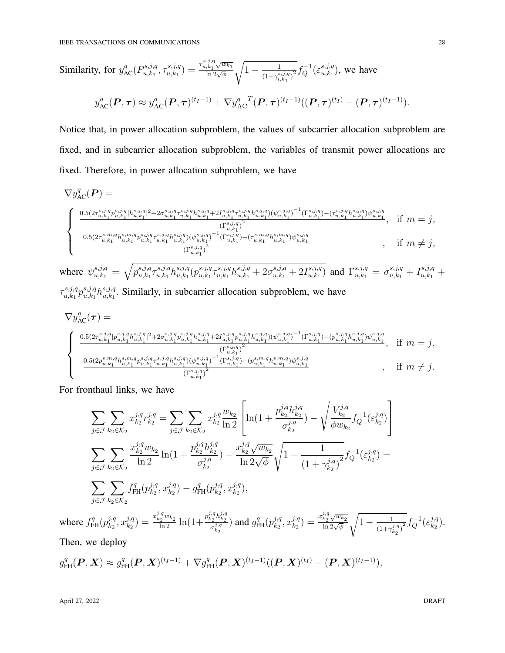Similarly, for 
$$
y_{AC}^q(P_{u,k_1}^{s,j,q}, \tau_{u,k_1}^{s,j,q}) = \frac{\tau_{u,k_1}^{s,j,q} \sqrt{w_{k_1}}}{\ln 2\sqrt{\phi}} \sqrt{1 - \frac{1}{(1 + \gamma_{i,k_1}^{s,j,q})^2}} f_Q^{-1}(\varepsilon_{u,k_1}^{s,j,q})
$$
, we have  

$$
y_{AC}^q(\mathbf{P}, \tau) \approx y_{AC}^q(\mathbf{P}, \tau)^{(t_I-1)} + \nabla y_{AC}^q{}^T(\mathbf{P}, \tau)^{(t_I-1)}((\mathbf{P}, \tau)^{(t_I)} - (\mathbf{P}, \tau)^{(t_I-1)}).
$$

Notice that, in power allocation subproblem, the values of subcarrier allocation subproblem are fixed, and in subcarrier allocation subproblem, the variables of transmit power allocations are fixed. Therefore, in power allocation subproblem, we have

$$
\nabla y_{AC}^{q}(\boldsymbol{P}) = \frac{0.5(2\tau_{u,k_1}^{s,j,q}p_{u,k_1}^{s,j,q}|h_{u,k_1}^{s,j,q}|^2 + 2\sigma_{u,k_1}^{s,j,q}\tau_{u,k_1}^{s,j,q}h_{u,k_1}^{s,j,q} + 2I_{u,k_1}^{s,j,q}\tau_{u,k_1}^{s,j,q}h_{u,k_1}^{s,j,q}) (\psi_{u,k_1}^{s,j,q})^{-1}(\Gamma_{u,k_1}^{s,j,q}) - (\tau_{u,k_1}^{s,j,q}h_{u,k_1}^{s,j,q})\psi_{u,k_1}^{s,j,q}}{\frac{(\Gamma_{u,k_1}^{s,j,q})^2}{(L_{u,k_1}^{s,j,q})^2}(\Gamma_{u,k_1}^{s,j,q})^{-1}(\Gamma_{u,k_1}^{s,j,q})\psi_{u,k_1}^{s,j,q}}{\frac{(\Gamma_{u,k_1}^{s,j,q})^2}{(L_{u,k_1}^{s,j,q})^2}(\Gamma_{u,k_1}^{s,j,q})^{-1}(\Gamma_{u,k_1}^{s,j,q})\psi_{u,k_1}^{s,j,q}}{\Gamma_{u,k_1}^{s,j,q}}}, \quad \text{if } m \neq j,
$$

where  $\psi_{u,k_1}^{s,j,q} = \sqrt{p_{u,k_1}^{s,j,q}}$  $s,j,q \ \tau^{s,j,q}_{u,k_1}$  ${}_{u,k_1}^{s,j,q} h_{u,k_1}^{s,j,q}$  ${}^{s,j,q}_{u,k_1}(p_{u,k_1}^{s,j,q})$  $s,j,q \ \tau^{s,j,q}_{u,k_1}$  $\sum_{u,k_1}^{s,j,q} h_{u,k_1}^{s,j,q} + 2\sigma_{u,k_1}^{s,j,q} + 2I_{u,k_1}^{s,j,q}$  $\mathcal{L}^{s,j,q}_{u,k_1}$  and  $\Gamma^{s,j,q}_{u,k_1} = \sigma^{s,j,q}_{u,k_1} + I^{s,j,q}_{u,k_1} +$ 

 $\tau^{s,j,q}_{u,k_1}$  ${}^{s,j,q}_{u,k_1}p_{u,k_1}^{s,j,q}$  ${}_{u,k_1}\hskip -1pt h_{u,k_1}^{s,j,q}$  $\sum_{u,k_1}^{s,j,q}$ . Similarly, in subcarrier allocation subproblem, we have

$$
\nabla y_{AC}^{q}(\tau) = \n\begin{cases}\n\frac{0.5(2\tau_{u,k_1}^{s,j,q} | p_{u,k_1}^{s,j,q} |^2 + 2\sigma_{u,k_1}^{s,j,q} p_{u,k_1}^{s,j,q} h_{u,k_1}^{s,j,q} + 2I_{u,k_1}^{s,j,q} p_{u,k_1}^{s,j,q} h_{u,k_1}^{s,j,q}) (\psi_{u,k_1}^{s,j,q})^{-1} (\Gamma_{u,k_1}^{s,j,q}) - (\rho_{u,k_1}^{s,j,q} h_{u,k_1}^{s,j,q}) \psi_{u,k_1}^{s,j,q} \\
\frac{0.5(2p_{u,k_1}^{s,m,q} h_{u,k_1}^{s,m,q} p_{u,k_1}^{s,j,q} \tau_{u,k_1}^{s,j,q}) (\psi_{u,k_1}^{s,j,q})^{-1} (\Gamma_{u,k_1}^{s,j,q})^{-1} (\Gamma_{u,k_1}^{s,j,q} h_{u,k_1}^{s,m,q}) \psi_{u,k_1}^{s,j,q}} \\
\frac{0.5(2p_{u,k_1}^{s,m,q} h_{u,k_1}^{s,m,q} p_{u,k_1}^{s,j,q} \tau_{u,k_1}^{s,j,q}) (\psi_{u,k_1}^{s,j,q})^{-1} (\Gamma_{u,k_1}^{s,j,q})^{-1} (\Gamma_{u,k_1}^{s,j,q} h_{u,k_1}^{s,m,q}) \psi_{u,k_1}^{s,j,q}} \\
\frac{0.5(2p_{u,k_1}^{s,m,q} h_{u,k_1}^{s,m,q} p_{u,k_1}^{s,j,q} \tau_{u,k_1}^{s,j,q})^{-1} (\Gamma_{u,k_1}^{s,j,q} - (\Gamma_{u,k_1}^{s,j,q} h_{u,k_1}^{s,m,q}) \psi_{u,k_1}^{s,j,q}}{\Gamma_{u,k_1}^{s,j,q}}, \quad \text{if } m \neq j.\n\end{cases}
$$

For fronthaul links, we have

$$
\sum_{j \in \mathcal{J}} \sum_{k_2 \in \mathcal{K}_2} x_{k_2}^{j,q} r_{k_2}^{j,q} = \sum_{j \in \mathcal{J}} \sum_{k_2 \in \mathcal{K}_2} x_{k_2}^{j,q} \frac{w_{k_2}}{\ln 2} \left[ \ln(1 + \frac{p_{k_2}^{j,q} h_{k_2}^{j,q}}{\sigma_{k_2}^{j,q}}) - \sqrt{\frac{V_{k_2}^{j,q}}{\phi w_{k_2}}} f_Q^{-1}(\varepsilon_{k_2}^{j,q}) \right]
$$
\n
$$
\sum_{j \in \mathcal{J}} \sum_{k_2 \in \mathcal{K}_2} \frac{x_{k_2}^{j,q} w_{k_2}}{\ln 2} \ln(1 + \frac{p_{k_2}^{j,q} h_{k_2}^{j,q}}{\sigma_{k_2}^{j,q}}) - \frac{x_{k_2}^{j,q} \sqrt{w_{k_2}}}{\ln 2\sqrt{\phi}} \sqrt{1 - \frac{1}{(1 + \gamma_{k_2}^{j,q})^2}} f_Q^{-1}(\varepsilon_{k_2}^{j,q}) =
$$
\n
$$
\sum_{j \in \mathcal{J}} \sum_{k_2 \in \mathcal{K}_2} f_{\text{FH}}^q(p_{k_2}^{j,q}, x_{k_2}^{j,q}) - g_{\text{FH}}^q(p_{k_2}^{j,q}, x_{k_2}^{j,q})
$$
\nwhere  $f_{\text{FH}}^q(p_{k_2}^{j,q}, x_{k_2}^{j,q}) = \frac{x_{k_2}^{j,q} w_{k_2}}{\ln 2} \ln(1 + \frac{p_{k_2}^{j,q} h_{k_2}^{j,q}}{\sigma_{k_2}^{j,q}}) \text{ and } g_{\text{FH}}^q(p_{k_2}^{j,q}, x_{k_2}^{j,q}) = \frac{x_{k_2}^{j,q} \sqrt{w_{k_2}}}{\ln 2\sqrt{\phi}} \sqrt{1 - \frac{1}{(1 + \gamma_{k_2}^{j,q})^2}} f_Q^{-1}(\varepsilon_{k_2}^{j,q}).$ 

Then, we deploy

$$
g_{\text{FH}}^q(\boldsymbol{P}, \boldsymbol{X}) \approx g_{\text{FH}}^q(\boldsymbol{P}, \boldsymbol{X})^{(t_I-1)} + \nabla g_{\text{FH}}^q(\boldsymbol{P}, \boldsymbol{X})^{(t_I-1)}((\boldsymbol{P}, \boldsymbol{X})^{(t_I)} - (\boldsymbol{P}, \boldsymbol{X})^{(t_I-1)}),
$$

April 27, 2022 DRAFT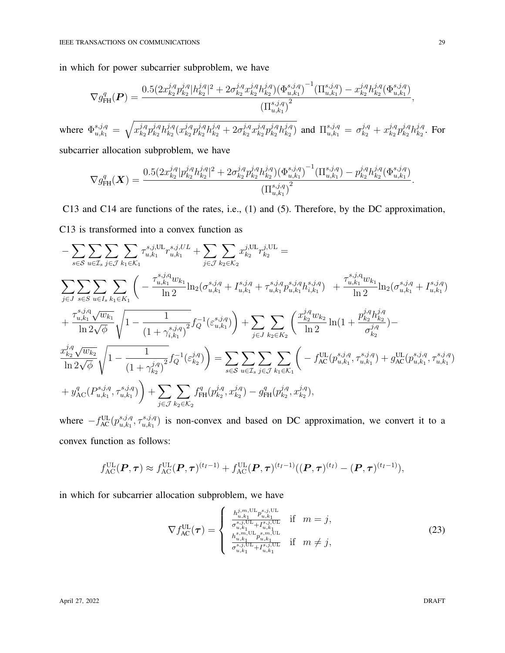in which for power subcarrier subproblem, we have

$$
\nabla g_{\text{FH}}^q(\boldsymbol{P}) = \frac{0.5(2x_{k_2}^{j,q}p_{k_2}^{j,q}|h_{k_2}^{j,q}|^2 + 2\sigma_{k_2}^{j,q}x_{k_2}^{j,q}h_{k_2}^{j,q})\left(\Phi_{u,k_1}^{s,j,q}\right)^{-1}(\Pi_{u,k_1}^{s,j,q}) - x_{k_2}^{j,q}h_{k_2}^{j,q}(\Phi_{u,k_1}^{s,j,q})}{\left(\Pi_{u,k_1}^{s,j,q}\right)^2},
$$

where  $\Phi_{u,k_1}^{s,j,q} = \sqrt{x_{k_2}^{j,q}}$  $_{k_{2}}^{j,q}p_{k_{2}}^{j,q}$  $_{k_2}^{j,q}h_{k_2}^{j,q}$  $\frac{j,q}{k_2}(x^{j,q}_{k_2}$  $_{k_2}^{j,q}p_{k_2}^{j,q}$  $\frac{j,q}{k_2}h^{j,q}_{k_2}+2\sigma^{j,q}_{k_2}$  ${}^{j,q}_{k_2}x_{k_2}^{j,q}$  $_{k_2}^{j,q}p_{k_2}^{j,q}$  $_{\scriptstyle k_2}^{j,q}h_{k_2}^{j,q}$  $\binom{j,q}{k_2}$  and  $\prod_{u,k_1}^{s,j,q} = \sigma_{k_2}^{j,q} + x_{k_2}^{j,q}$  $_{k_2}^{j,q}p_{k_2}^{j,q}$  $_{k_{2}}^{j,q}h_{k_{2}}^{j,q}$  $\frac{1}{k_2}$ . For

subcarrier allocation subproblem, we have

$$
\nabla g_{\text{FH}}^q(\boldsymbol{X}) = \frac{0.5(2x_{k_2}^{j,q} | p_{k_2}^{j,q} h_{k_2}^{j,q} |^2 + 2\sigma_{k_2}^{j,q} p_{k_2}^{j,q} h_{k_2}^{j,q}) (\Phi_{u,k_1}^{s,j,q})^{-1} (\Pi_{u,k_1}^{s,j,q}) - p_{k_2}^{j,q} h_{k_2}^{j,q} (\Phi_{u,k_1}^{s,j,q})}{(\Pi_{u,k_1}^{s,j,q})^2}.
$$

C13 and C14 are functions of the rates, i.e., (1) and (5). Therefore, by the DC approximation, C13 is transformed into a convex function as

$$
- \sum_{s \in S} \sum_{u \in \mathcal{I}_s} \sum_{j \in \mathcal{J}} \sum_{k_1 \in \mathcal{K}_1} \tau_{u,k_1}^{s,j,UL} \tau_{u,k_1}^{s,j,UL} + \sum_{j \in \mathcal{J}} \sum_{k_2 \in \mathcal{K}_2} x_{k_2}^{j,UL} \tau_{k_2}^{j,UL} =
$$
\n
$$
\sum_{j \in J} \sum_{s \in S} \sum_{u \in I_s} \sum_{k_1 \in \mathcal{K}_1} \left( -\frac{\tau_{u,k_1}^{s,j,q} w_{k_1}}{\ln 2} \ln_2(\sigma_{u,k_1}^{s,j,q} + \Gamma_{u,k_1}^{s,j,q} + \tau_{u,k_1}^{s,j,q} p_{u,k_1}^{s,j,q} h_{i,k_1}^{s,j,q}) + \frac{\tau_{u,k_1}^{s,j,q} w_{k_1}}{\ln 2} \ln_2(\sigma_{u,k_1}^{s,j,q} + \Gamma_{u,k_1}^{s,j,q}) + \frac{\tau_{u,k_1}^{s,j,q} w_{k_1}}{\ln 2} \ln_2(\sigma_{u,k_1}^{s,j,q} + \Gamma_{u,k_1}^{s,j,q}) \right)
$$
\n
$$
+ \frac{\tau_{u,k_1}^{s,j,q} \sqrt{w_{k_1}}}{\ln 2 \sqrt{\phi}} \sqrt{1 - \frac{1}{(1 + \gamma_{i,k_1}^{s,j,q})^2} f_Q^{-1}(\varepsilon_{k_2}^{s,j,q}) + \sum_{j \in J} \sum_{k_2 \in K_2} \left( \frac{x_{k_2}^{j,q} w_{k_2}}{\ln 2} \ln(1 + \frac{p_{k_2}^{j,q} h_{j,q}^{j,q}}{\sigma_{k_2}^{j,q}}) - \frac{x_{k_2}^{j,q} \sqrt{w_{k_2}}}{\ln 2 \sqrt{\phi}} \sqrt{1 - \frac{1}{(1 + \gamma_{k_2}^{j,q})^2} f_Q^{-1}(\varepsilon_{k_2}^{j,q})} \right) = \sum_{s \in S} \sum_{u \in \mathcal{I}_s} \sum_{j \in \mathcal{J}} \sum_{k_1 \in \mathcal{K}_1} \left( -f_{\text{AC}}^{\text{UL}}(p_{u,k_1}^{s,j,q}, \tau_{u,k_1}^{s,j,q}) + g_{\text{
$$

where  $-f_{AC}^{UL}(p_{u,k_1}^{s,j,q})$  $_{u,k_1}^{s,j,q}, \tau_{u,k_1}^{s,j,q}$  $\binom{s, j, q}{u, k_1}$  is non-convex and based on DC approximation, we convert it to a convex function as follows:

$$
f_{\rm AC}^{\rm UL}(\boldsymbol{P},\boldsymbol{\tau})\approx f_{\rm AC}^{\rm UL}(\boldsymbol{P},\boldsymbol{\tau})^{(t_I-1)}+f_{\rm AC}^{\rm UL}(\boldsymbol{P},\boldsymbol{\tau})^{(t_I-1)}((\boldsymbol{P},\boldsymbol{\tau})^{(t_I)}-(\boldsymbol{P},\boldsymbol{\tau})^{(t_I-1)}),
$$

in which for subcarrier allocation subproblem, we have

$$
\nabla f_{AC}^{UL}(\tau) = \begin{cases} \frac{h_{u,k_1}^{j,m,UL} p_{u,k_1}^{s,j,UL}}{\sigma_{u,k_1}^{s,j,UL} + I_{u,k_1}^{s,j,UL}} & \text{if } m = j, \\ \frac{h_{u,k_1}^{s,m,UL} p_{u,k_1}^{s,m,UL}}{\sigma_{u,k_1}^{s,m,UL} + I_{u,k_1}^{s,j,UL}} & \text{if } m \neq j, \end{cases}
$$
(23)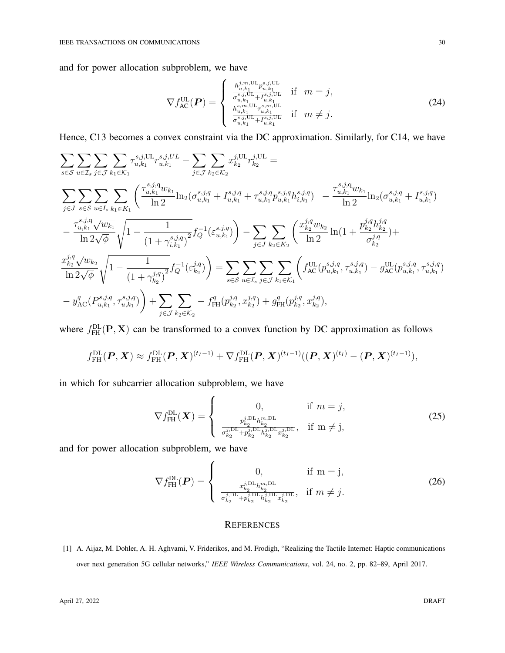and for power allocation subproblem, we have

$$
\nabla f_{AC}^{UL}(\boldsymbol{P}) = \begin{cases} \frac{h_{u,s_1}^{j,m,UL} p_{u,s_1}^{s,j,UL}}{\sigma_{u,s_1}^{s,j,UL} + I_{u,s_1}^{s,j,UL}} & \text{if } m = j, \\ \frac{h_{s,m}^{s,m,UL} \tau_{u,s_1}^{s,m,UL}}{\sigma_{u,s_1}^{s,m,UL} + I_{u,s_1}^{s,j,UL}} & \text{if } m \neq j. \end{cases}
$$
(24)

Hence, C13 becomes a convex constraint via the DC approximation. Similarly, for C14, we have

$$
\sum_{s\in\mathcal{S}}\sum_{u\in\mathcal{I}_{s}}\sum_{j\in\mathcal{J}}\sum_{k_{1}\in\mathcal{K}_{1}}\tau_{u,k_{1}}^{s,j,\text{UL}}r_{u,k_{1}}^{s,j,\text{UL}} - \sum_{j\in\mathcal{J}}\sum_{k_{2}\in\mathcal{K}_{2}}x_{k_{2}}^{j,\text{UL}}r_{k_{2}}^{j,\text{UL}} =
$$
\n
$$
\sum_{j\in\mathcal{J}}\sum_{s\in\mathcal{S}}\sum_{u\in I_{s}}\sum_{k_{1}\in\mathcal{K}_{1}}\left(\frac{\tau_{u,k_{1}}^{s,j,q}w_{k_{1}}}{\ln 2} \ln_{2}(\sigma_{u,k_{1}}^{s,j,q} + I_{u,k_{1}}^{s,j,q} + \tau_{u,k_{1}}^{s,j,q}p_{u,k_{1}}^{s,j,q}h_{i,k_{1}}^{s,j,q}) - \frac{\tau_{u,k_{1}}^{s,j,q}w_{k_{1}}}{\ln 2} \ln_{2}(\sigma_{u,k_{1}}^{s,j,q} + I_{u,k_{1}}^{s,j,q})\right]
$$
\n
$$
-\frac{\tau_{u,k_{1}}^{s,j,q}\sqrt{w_{k_{1}}}}{\ln 2\sqrt{\phi}}\sqrt{1 - \frac{1}{(1 + \gamma_{i,k_{1}}^{s,j,q})^{2}}f_{Q}^{-1}(\varepsilon_{u,k_{1}}^{s,j,q})\right) - \sum_{j\in\mathcal{J}}\sum_{k_{2}\in\mathcal{K}_{2}}\left(\frac{x_{k_{2}}^{j,q}w_{k_{2}}}{\ln 2} \ln(1 + \frac{p_{k_{2}}^{j,q}h_{k_{2}}^{j,q}}{\sigma_{k_{2}}^{j,q}}) + \frac{x_{k_{2}}^{j,q}\sqrt{w_{k_{2}}}}{\ln 2\sqrt{\phi}}\sqrt{1 - \frac{1}{(1 + \gamma_{k_{2}}^{j,q})^{2}}f_{Q}^{-1}(\varepsilon_{k_{2}}^{j,q})\right)} = \sum_{s\in\mathcal{S}}\sum_{u\in\mathcal{I}_{s}}\sum_{j\in\mathcal{J}}\sum_{k_{1}\in\mathcal{K}_{1}}\left(f_{\text{AC}}^{\text{UL}}(p_{u,k_{1}}^{s,j,q}, \tau_{u,k_{1}}^{s,j,q}) - g_{\text{AC}}^{\text{ML}}(p_{u,k_{1}}^{s,j,q}, \tau_{u,k
$$

where  $f_{\text{FH}}^{\text{DL}}(\textbf{P}, \textbf{X})$  can be transformed to a convex function by DC approximation as follows

$$
f_{\text{FH}}^{\text{DL}}(\boldsymbol{P}, \boldsymbol{X}) \approx f_{\text{FH}}^{\text{DL}}(\boldsymbol{P}, \boldsymbol{X})^{(t_I - 1)} + \nabla f_{\text{FH}}^{\text{DL}}(\boldsymbol{P}, \boldsymbol{X})^{(t_I - 1)}((\boldsymbol{P}, \boldsymbol{X})^{(t_I)} - (\boldsymbol{P}, \boldsymbol{X})^{(t_I - 1)}),
$$

in which for subcarrier allocation subproblem, we have

 $\epsilon$ 

 $\lambda$ 

$$
\nabla f_{\text{FH}}^{\text{DL}}(\boldsymbol{X}) = \begin{cases} 0, & \text{if } m = j, \\ \frac{p_{k_2}^{j,\text{DL}} h_{k_2}^{m,\text{DL}}}{\sigma_{k_2}^{j,\text{DL}} + p_{k_2}^{j,\text{DL}} h_{k_2}^{j,\text{DL}} \sigma_{k_2}^{j,\text{DL}}}, & \text{if } m \neq j, \end{cases}
$$
(25)

and for power allocation subproblem, we have

$$
\nabla f_{\text{FH}}^{\text{DL}}(\boldsymbol{P}) = \begin{cases} 0, & \text{if } m = j, \\ \frac{x_{k_2}^{j,\text{DL}} h_{k_2}^{m,\text{DL}}}{\sigma_{k_2}^{j,\text{DL}} + p_{k_2}^{j,\text{DL}} h_{k_2}^{j,\text{DL}} x_{k_2}^{j,\text{DL}}}, & \text{if } m \neq j. \end{cases}
$$
(26)

#### **REFERENCES**

[1] A. Aijaz, M. Dohler, A. H. Aghvami, V. Friderikos, and M. Frodigh, "Realizing the Tactile Internet: Haptic communications over next generation 5G cellular networks," *IEEE Wireless Communications*, vol. 24, no. 2, pp. 82–89, April 2017.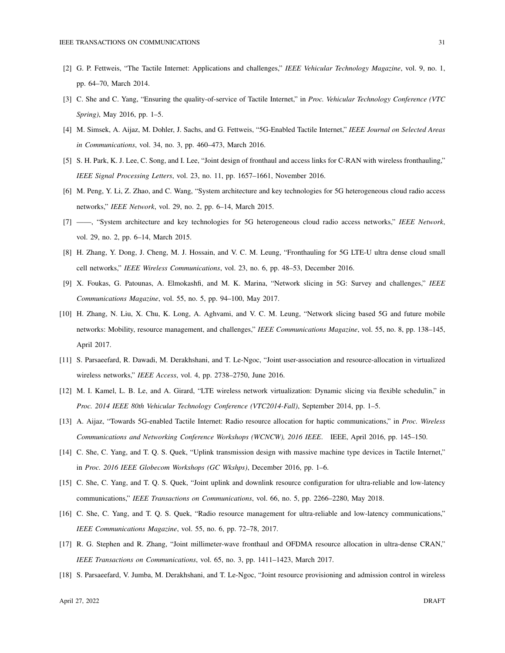- [2] G. P. Fettweis, "The Tactile Internet: Applications and challenges," *IEEE Vehicular Technology Magazine*, vol. 9, no. 1, pp. 64–70, March 2014.
- [3] C. She and C. Yang, "Ensuring the quality-of-service of Tactile Internet," in *Proc. Vehicular Technology Conference (VTC Spring)*, May 2016, pp. 1–5.
- [4] M. Simsek, A. Aijaz, M. Dohler, J. Sachs, and G. Fettweis, "5G-Enabled Tactile Internet," *IEEE Journal on Selected Areas in Communications*, vol. 34, no. 3, pp. 460–473, March 2016.
- [5] S. H. Park, K. J. Lee, C. Song, and I. Lee, "Joint design of fronthaul and access links for C-RAN with wireless fronthauling," *IEEE Signal Processing Letters*, vol. 23, no. 11, pp. 1657–1661, November 2016.
- [6] M. Peng, Y. Li, Z. Zhao, and C. Wang, "System architecture and key technologies for 5G heterogeneous cloud radio access networks," *IEEE Network*, vol. 29, no. 2, pp. 6–14, March 2015.
- [7] ——, "System architecture and key technologies for 5G heterogeneous cloud radio access networks," *IEEE Network*, vol. 29, no. 2, pp. 6–14, March 2015.
- [8] H. Zhang, Y. Dong, J. Cheng, M. J. Hossain, and V. C. M. Leung, "Fronthauling for 5G LTE-U ultra dense cloud small cell networks," *IEEE Wireless Communications*, vol. 23, no. 6, pp. 48–53, December 2016.
- [9] X. Foukas, G. Patounas, A. Elmokashfi, and M. K. Marina, "Network slicing in 5G: Survey and challenges," *IEEE Communications Magazine*, vol. 55, no. 5, pp. 94–100, May 2017.
- [10] H. Zhang, N. Liu, X. Chu, K. Long, A. Aghvami, and V. C. M. Leung, "Network slicing based 5G and future mobile networks: Mobility, resource management, and challenges," *IEEE Communications Magazine*, vol. 55, no. 8, pp. 138–145, April 2017.
- [11] S. Parsaeefard, R. Dawadi, M. Derakhshani, and T. Le-Ngoc, "Joint user-association and resource-allocation in virtualized wireless networks," *IEEE Access*, vol. 4, pp. 2738–2750, June 2016.
- [12] M. I. Kamel, L. B. Le, and A. Girard, "LTE wireless network virtualization: Dynamic slicing via flexible schedulin," in *Proc. 2014 IEEE 80th Vehicular Technology Conference (VTC2014-Fall)*, September 2014, pp. 1–5.
- [13] A. Aijaz, "Towards 5G-enabled Tactile Internet: Radio resource allocation for haptic communications," in *Proc. Wireless Communications and Networking Conference Workshops (WCNCW), 2016 IEEE*. IEEE, April 2016, pp. 145–150.
- [14] C. She, C. Yang, and T. Q. S. Quek, "Uplink transmission design with massive machine type devices in Tactile Internet," in *Proc. 2016 IEEE Globecom Workshops (GC Wkshps)*, December 2016, pp. 1–6.
- [15] C. She, C. Yang, and T. Q. S. Quek, "Joint uplink and downlink resource configuration for ultra-reliable and low-latency communications," *IEEE Transactions on Communications*, vol. 66, no. 5, pp. 2266–2280, May 2018.
- [16] C. She, C. Yang, and T. Q. S. Quek, "Radio resource management for ultra-reliable and low-latency communications," *IEEE Communications Magazine*, vol. 55, no. 6, pp. 72–78, 2017.
- [17] R. G. Stephen and R. Zhang, "Joint millimeter-wave fronthaul and OFDMA resource allocation in ultra-dense CRAN," *IEEE Transactions on Communications*, vol. 65, no. 3, pp. 1411–1423, March 2017.
- [18] S. Parsaeefard, V. Jumba, M. Derakhshani, and T. Le-Ngoc, "Joint resource provisioning and admission control in wireless